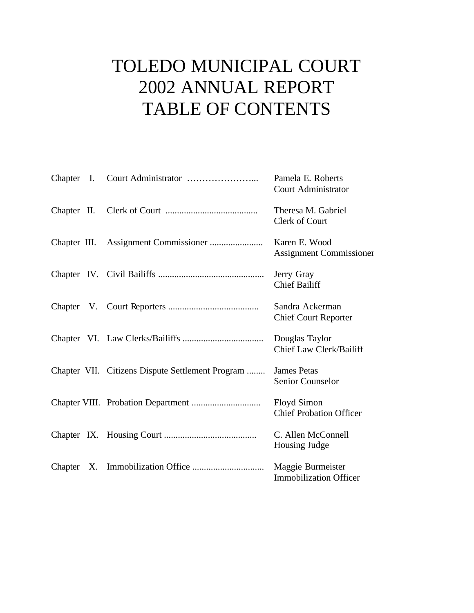# TOLEDO MUNICIPAL COURT 2002 ANNUAL REPORT TABLE OF CONTENTS

|  |                                                  | Pamela E. Roberts<br><b>Court Administrator</b>      |
|--|--------------------------------------------------|------------------------------------------------------|
|  |                                                  | Theresa M. Gabriel<br>Clerk of Court                 |
|  |                                                  | Karen E. Wood<br><b>Assignment Commissioner</b>      |
|  |                                                  | Jerry Gray<br><b>Chief Bailiff</b>                   |
|  |                                                  | Sandra Ackerman<br><b>Chief Court Reporter</b>       |
|  |                                                  | Douglas Taylor<br><b>Chief Law Clerk/Bailiff</b>     |
|  | Chapter VII. Citizens Dispute Settlement Program | <b>James Petas</b><br>Senior Counselor               |
|  |                                                  | <b>Floyd Simon</b><br><b>Chief Probation Officer</b> |
|  |                                                  | C. Allen McConnell<br>Housing Judge                  |
|  |                                                  | Maggie Burmeister<br><b>Immobilization Officer</b>   |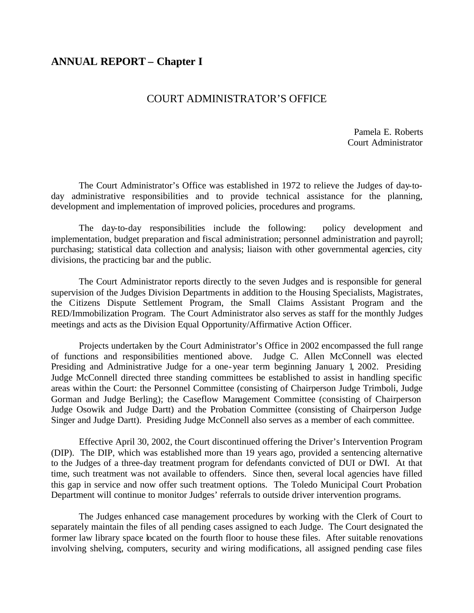# **ANNUAL REPORT – Chapter I**

### COURT ADMINISTRATOR'S OFFICE

Pamela E. Roberts Court Administrator

The Court Administrator's Office was established in 1972 to relieve the Judges of day-today administrative responsibilities and to provide technical assistance for the planning, development and implementation of improved policies, procedures and programs.

The day-to-day responsibilities include the following: policy development and implementation, budget preparation and fiscal administration; personnel administration and payroll; purchasing; statistical data collection and analysis; liaison with other governmental agencies, city divisions, the practicing bar and the public.

The Court Administrator reports directly to the seven Judges and is responsible for general supervision of the Judges Division Departments in addition to the Housing Specialists, Magistrates, the Citizens Dispute Settlement Program, the Small Claims Assistant Program and the RED/Immobilization Program. The Court Administrator also serves as staff for the monthly Judges meetings and acts as the Division Equal Opportunity/Affirmative Action Officer.

Projects undertaken by the Court Administrator's Office in 2002 encompassed the full range of functions and responsibilities mentioned above. Judge C. Allen McConnell was elected Presiding and Administrative Judge for a one-year term beginning January 1, 2002. Presiding Judge McConnell directed three standing committees be established to assist in handling specific areas within the Court: the Personnel Committee (consisting of Chairperson Judge Trimboli, Judge Gorman and Judge Berling); the Caseflow Management Committee (consisting of Chairperson Judge Osowik and Judge Dartt) and the Probation Committee (consisting of Chairperson Judge Singer and Judge Dartt). Presiding Judge McConnell also serves as a member of each committee.

Effective April 30, 2002, the Court discontinued offering the Driver's Intervention Program (DIP). The DIP, which was established more than 19 years ago, provided a sentencing alternative to the Judges of a three-day treatment program for defendants convicted of DUI or DWI. At that time, such treatment was not available to offenders. Since then, several local agencies have filled this gap in service and now offer such treatment options. The Toledo Municipal Court Probation Department will continue to monitor Judges' referrals to outside driver intervention programs.

The Judges enhanced case management procedures by working with the Clerk of Court to separately maintain the files of all pending cases assigned to each Judge. The Court designated the former law library space located on the fourth floor to house these files. After suitable renovations involving shelving, computers, security and wiring modifications, all assigned pending case files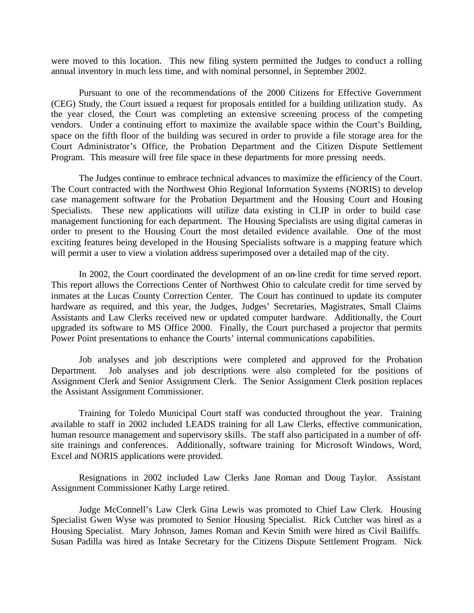were moved to this location. This new filing system permitted the Judges to conduct a rolling annual inventory in much less time, and with nominal personnel, in September 2002.

Pursuant to one of the recommendations of the 2000 Citizens for Effective Government (CEG) Study, the Court issued a request for proposals entitled for a building utilization study. As the year closed, the Court was completing an extensive screening process of the competing vendors. Under a continuing effort to maximize the available space within the Court's Building, space on the fifth floor of the building was secured in order to provide a file storage area for the Court Administrator's Office, the Probation Department and the Citizen Dispute Settlement Program. This measure will free file space in these departments for more pressing needs.

The Judges continue to embrace technical advances to maximize the efficiency of the Court. The Court contracted with the Northwest Ohio Regional Information Systems (NORIS) to develop case management software for the Probation Department and the Housing Court and Housing Specialists. These new applications will utilize data existing in CLIP in order to build case management functioning for each department. The Housing Specialists are using digital cameras in order to present to the Housing Court the most detailed evidence available. One of the most exciting features being developed in the Housing Specialists software is a mapping feature which will permit a user to view a violation address superimposed over a detailed map of the city.

In 2002, the Court coordinated the development of an on-line credit for time served report. This report allows the Corrections Center of Northwest Ohio to calculate credit for time served by inmates at the Lucas County Correction Center. The Court has continued to update its computer hardware as required, and this year, the Judges, Judges' Secretaries, Magistrates, Small Claims Assistants and Law Clerks received new or updated computer hardware. Additionally, the Court upgraded its software to MS Office 2000. Finally, the Court purchased a projector that permits Power Point presentations to enhance the Courts' internal communications capabilities.

Job analyses and job descriptions were completed and approved for the Probation Department. Job analyses and job descriptions were also completed for the positions of Assignment Clerk and Senior Assignment Clerk. The Senior Assignment Clerk position replaces the Assistant Assignment Commissioner.

Training for Toledo Municipal Court staff was conducted throughout the year. Training available to staff in 2002 included LEADS training for all Law Clerks, effective communication, human resource management and supervisory skills. The staff also participated in a number of offsite trainings and conferences. Additionally, software training for Microsoft Windows, Word, Excel and NORIS applications were provided.

Resignations in 2002 included Law Clerks Jane Roman and Doug Taylor. Assistant Assignment Commissioner Kathy Large retired.

Judge McConnell's Law Clerk Gina Lewis was promoted to Chief Law Clerk. Housing Specialist Gwen Wyse was promoted to Senior Housing Specialist. Rick Cutcher was hired as a Housing Specialist. Mary Johnson, James Roman and Kevin Smith were hired as Civil Bailiffs. Susan Padilla was hired as Intake Secretary for the Citizens Dispute Settlement Program. Nick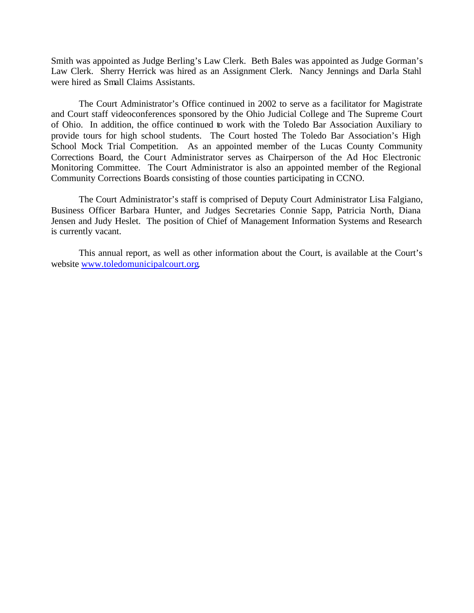Smith was appointed as Judge Berling's Law Clerk. Beth Bales was appointed as Judge Gorman's Law Clerk. Sherry Herrick was hired as an Assignment Clerk. Nancy Jennings and Darla Stahl were hired as Small Claims Assistants.

The Court Administrator's Office continued in 2002 to serve as a facilitator for Magistrate and Court staff videoconferences sponsored by the Ohio Judicial College and The Supreme Court of Ohio. In addition, the office continued to work with the Toledo Bar Association Auxiliary to provide tours for high school students. The Court hosted The Toledo Bar Association's High School Mock Trial Competition. As an appointed member of the Lucas County Community Corrections Board, the Court Administrator serves as Chairperson of the Ad Hoc Electronic Monitoring Committee. The Court Administrator is also an appointed member of the Regional Community Corrections Boards consisting of those counties participating in CCNO.

The Court Administrator's staff is comprised of Deputy Court Administrator Lisa Falgiano, Business Officer Barbara Hunter, and Judges Secretaries Connie Sapp, Patricia North, Diana Jensen and Judy Heslet. The position of Chief of Management Information Systems and Research is currently vacant.

This annual report, as well as other information about the Court, is available at the Court's website www.toledomunicipalcourt.org.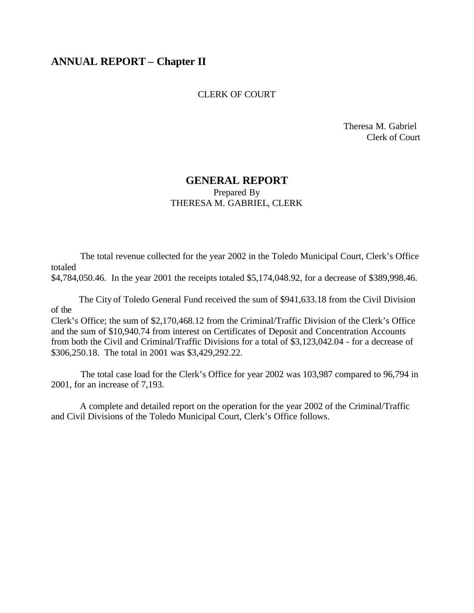# **ANNUAL REPORT – Chapter II**

#### CLERK OF COURT

 Theresa M. Gabriel Clerk of Court

# **GENERAL REPORT**

#### Prepared By THERESA M. GABRIEL, CLERK

 The total revenue collected for the year 2002 in the Toledo Municipal Court, Clerk's Office totaled

\$4,784,050.46. In the year 2001 the receipts totaled \$5,174,048.92, for a decrease of \$389,998.46.

 The City of Toledo General Fund received the sum of \$941,633.18 from the Civil Division of the

Clerk's Office; the sum of \$2,170,468.12 from the Criminal/Traffic Division of the Clerk's Office and the sum of \$10,940.74 from interest on Certificates of Deposit and Concentration Accounts from both the Civil and Criminal/Traffic Divisions for a total of \$3,123,042.04 - for a decrease of \$306,250.18. The total in 2001 was \$3,429,292.22.

 The total case load for the Clerk's Office for year 2002 was 103,987 compared to 96,794 in 2001, for an increase of 7,193.

 A complete and detailed report on the operation for the year 2002 of the Criminal/Traffic and Civil Divisions of the Toledo Municipal Court, Clerk's Office follows.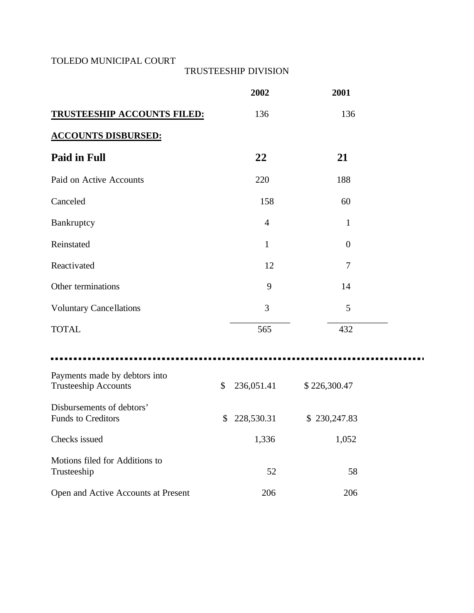# TOLEDO MUNICIPAL COURT

### TRUSTEESHIP DIVISION

|                                                              | 2002             | 2001           |  |
|--------------------------------------------------------------|------------------|----------------|--|
| <b>TRUSTEESHIP ACCOUNTS FILED:</b>                           | 136              | 136            |  |
| <b>ACCOUNTS DISBURSED:</b>                                   |                  |                |  |
| <b>Paid in Full</b>                                          | 22               | 21             |  |
| Paid on Active Accounts                                      | 220              | 188            |  |
| Canceled                                                     | 158              | 60             |  |
| Bankruptcy                                                   | $\overline{4}$   | $\mathbf{1}$   |  |
| Reinstated                                                   | $\mathbf{1}$     | $\overline{0}$ |  |
| Reactivated                                                  | 12               | 7              |  |
| Other terminations                                           | 9                | 14             |  |
| <b>Voluntary Cancellations</b>                               | 3                | 5              |  |
| <b>TOTAL</b>                                                 | 565              | 432            |  |
|                                                              |                  |                |  |
| Payments made by debtors into<br><b>Trusteeship Accounts</b> | \$<br>236,051.41 | \$226,300.47   |  |
| Disbursements of debtors'<br>Funds to Creditors              | \$<br>228,530.31 | \$230,247.83   |  |
| Checks issued                                                | 1,336            | 1,052          |  |
| Motions filed for Additions to<br>Trusteeship                | 52               | 58             |  |
| Open and Active Accounts at Present                          | 206              | 206            |  |

 $\blacksquare$  <br> If  $\blacksquare$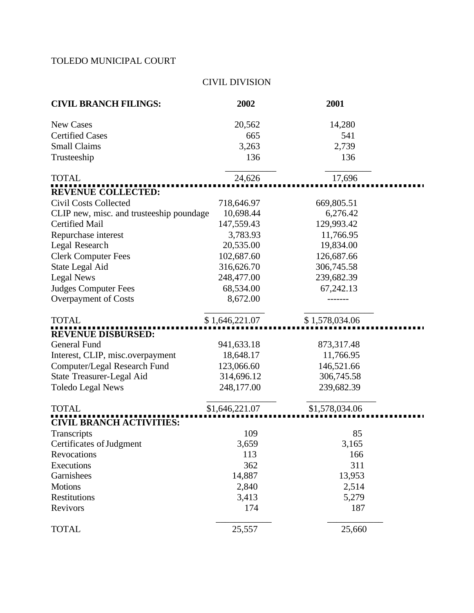# TOLEDO MUNICIPAL COURT

### CIVIL DIVISION

| <b>CIVIL BRANCH FILINGS:</b>             | 2002           | 2001           |
|------------------------------------------|----------------|----------------|
| <b>New Cases</b>                         | 20,562         | 14,280         |
| <b>Certified Cases</b>                   | 665            | 541            |
| <b>Small Claims</b>                      | 3,263          | 2,739          |
| Trusteeship                              | 136            | 136            |
| <b>TOTAL</b>                             | 24,626         | 17,696         |
| <b>REVENUE COLLECTED:</b>                |                |                |
| <b>Civil Costs Collected</b>             | 718,646.97     | 669,805.51     |
| CLIP new, misc. and trusteeship poundage | 10,698.44      | 6,276.42       |
| Certified Mail                           | 147,559.43     | 129,993.42     |
| Repurchase interest                      | 3,783.93       | 11,766.95      |
| Legal Research                           | 20,535.00      | 19,834.00      |
| <b>Clerk Computer Fees</b>               | 102,687.60     | 126,687.66     |
| State Legal Aid                          | 316,626.70     | 306,745.58     |
| <b>Legal News</b>                        | 248,477.00     | 239,682.39     |
| <b>Judges Computer Fees</b>              | 68,534.00      | 67,242.13      |
| Overpayment of Costs                     | 8,672.00       |                |
| <b>TOTAL</b>                             | \$1,646,221.07 | \$1,578,034.06 |
| <b>REVENUE DISBURSED:</b>                |                |                |
| <b>General Fund</b>                      | 941,633.18     | 873,317.48     |
| Interest, CLIP, misc.overpayment         | 18,648.17      | 11,766.95      |
| Computer/Legal Research Fund             | 123,066.60     | 146,521.66     |
| State Treasurer-Legal Aid                | 314,696.12     | 306,745.58     |
| <b>Toledo Legal News</b>                 | 248,177.00     | 239,682.39     |
| <b>TOTAL</b>                             | \$1,646,221.07 | \$1,578,034.06 |
| <b>CIVIL BRANCH ACTIVITIES:</b>          |                |                |
| Transcripts                              | 109            | 85             |
| Certificates of Judgment                 | 3,659          | 3,165          |
| Revocations                              | 113            | 166            |
| Executions                               | 362            | 311            |
| Garnishees                               | 14,887         | 13,953         |
| <b>Motions</b>                           | 2,840          | 2,514          |
| Restitutions                             | 3,413          | 5,279          |
| Revivors                                 | 174            | 187            |
| <b>TOTAL</b>                             | 25,557         | 25,660         |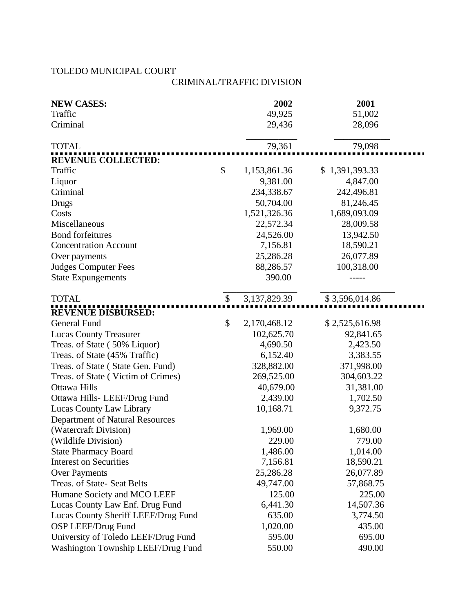# TOLEDO MUNICIPAL COURT

### CRIMINAL/TRAFFIC DIVISION

| <b>NEW CASES:</b>                      | 2002               | 2001           |
|----------------------------------------|--------------------|----------------|
| Traffic                                | 49,925             | 51,002         |
| Criminal                               | 29,436             | 28,096         |
| <b>TOTAL</b>                           | 79,361             | 79,098         |
| <b>REVENUE COLLECTED:</b>              |                    |                |
| Traffic                                | \$<br>1,153,861.36 | \$1,391,393.33 |
| Liquor                                 | 9,381.00           | 4,847.00       |
| Criminal                               | 234,338.67         | 242,496.81     |
| Drugs                                  | 50,704.00          | 81,246.45      |
| Costs                                  | 1,521,326.36       | 1,689,093.09   |
| Miscellaneous                          | 22,572.34          | 28,009.58      |
| <b>Bond forfeitures</b>                | 24,526.00          | 13,942.50      |
| <b>Concentration Account</b>           | 7,156.81           | 18,590.21      |
| Over payments                          | 25,286.28          | 26,077.89      |
| <b>Judges Computer Fees</b>            | 88,286.57          | 100,318.00     |
| <b>State Expungements</b>              | 390.00             |                |
| <b>TOTAL</b>                           | \$<br>3,137,829.39 | \$3,596,014.86 |
| <b>REVENUE DISBURSED:</b>              |                    |                |
| <b>General Fund</b>                    | \$<br>2,170,468.12 | \$2,525,616.98 |
| <b>Lucas County Treasurer</b>          | 102,625.70         | 92,841.65      |
| Treas. of State (50% Liquor)           | 4,690.50           | 2,423.50       |
| Treas. of State (45% Traffic)          | 6,152.40           | 3,383.55       |
| Treas. of State (State Gen. Fund)      | 328,882.00         | 371,998.00     |
| Treas. of State (Victim of Crimes)     | 269,525.00         | 304,603.22     |
| Ottawa Hills                           | 40,679.00          | 31,381.00      |
| Ottawa Hills- LEEF/Drug Fund           | 2,439.00           | 1,702.50       |
| <b>Lucas County Law Library</b>        | 10,168.71          | 9,372.75       |
| <b>Department of Natural Resources</b> |                    |                |
| (Watercraft Division)                  | 1,969.00           | 1,680.00       |
| (Wildlife Division)                    | 229.00             | 779.00         |
| <b>State Pharmacy Board</b>            | 1,486.00           | 1,014.00       |
| <b>Interest on Securities</b>          | 7,156.81           | 18,590.21      |
| <b>Over Payments</b>                   | 25,286.28          | 26,077.89      |
| Treas. of State- Seat Belts            | 49,747.00          | 57,868.75      |
| Humane Society and MCO LEEF            | 125.00             | 225.00         |
| Lucas County Law Enf. Drug Fund        | 6,441.30           | 14,507.36      |
| Lucas County Sheriff LEEF/Drug Fund    | 635.00             | 3,774.50       |
| OSP LEEF/Drug Fund                     | 1,020.00           | 435.00         |
| University of Toledo LEEF/Drug Fund    | 595.00             | 695.00         |
| Washington Township LEEF/Drug Fund     | 550.00             | 490.00         |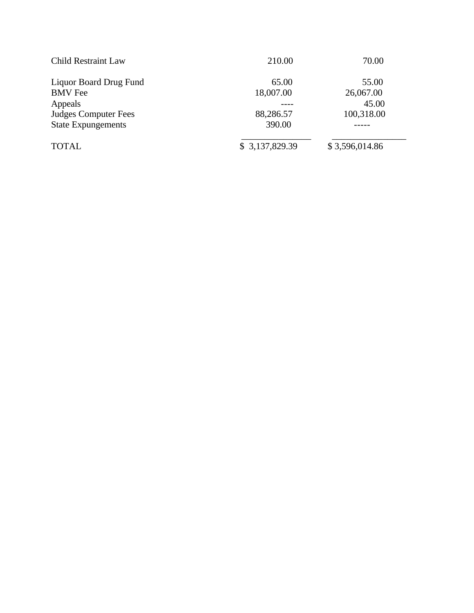| <b>Child Restraint Law</b>    | 210.00         | 70.00          |
|-------------------------------|----------------|----------------|
| <b>Liquor Board Drug Fund</b> | 65.00          | 55.00          |
| <b>BMV</b> Fee                | 18,007.00      | 26,067.00      |
| Appeals                       |                | 45.00          |
| <b>Judges Computer Fees</b>   | 88,286.57      | 100,318.00     |
| <b>State Expungements</b>     | 390.00         |                |
| <b>TOTAL</b>                  | \$3,137,829.39 | \$3,596,014.86 |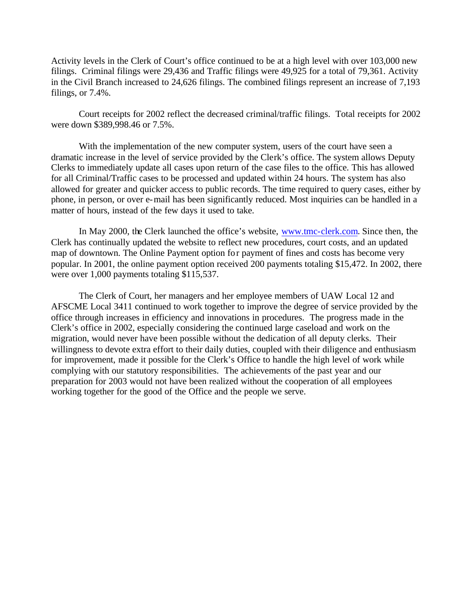Activity levels in the Clerk of Court's office continued to be at a high level with over 103,000 new filings. Criminal filings were 29,436 and Traffic filings were 49,925 for a total of 79,361. Activity in the Civil Branch increased to 24,626 filings. The combined filings represent an increase of 7,193 filings, or 7.4%.

Court receipts for 2002 reflect the decreased criminal/traffic filings. Total receipts for 2002 were down \$389,998.46 or 7.5%.

With the implementation of the new computer system, users of the court have seen a dramatic increase in the level of service provided by the Clerk's office. The system allows Deputy Clerks to immediately update all cases upon return of the case files to the office. This has allowed for all Criminal/Traffic cases to be processed and updated within 24 hours. The system has also allowed for greater and quicker access to public records. The time required to query cases, either by phone, in person, or over e-mail has been significantly reduced. Most inquiries can be handled in a matter of hours, instead of the few days it used to take.

In May 2000, the Clerk launched the office's website, www.tmc-clerk.com. Since then, the Clerk has continually updated the website to reflect new procedures, court costs, and an updated map of downtown. The Online Payment option for payment of fines and costs has become very popular. In 2001, the online payment option received 200 payments totaling \$15,472. In 2002, there were over 1,000 payments totaling \$115,537.

The Clerk of Court, her managers and her employee members of UAW Local 12 and AFSCME Local 3411 continued to work together to improve the degree of service provided by the office through increases in efficiency and innovations in procedures. The progress made in the Clerk's office in 2002, especially considering the continued large caseload and work on the migration, would never have been possible without the dedication of all deputy clerks. Their willingness to devote extra effort to their daily duties, coupled with their diligence and enthusiasm for improvement, made it possible for the Clerk's Office to handle the high level of work while complying with our statutory responsibilities. The achievements of the past year and our preparation for 2003 would not have been realized without the cooperation of all employees working together for the good of the Office and the people we serve.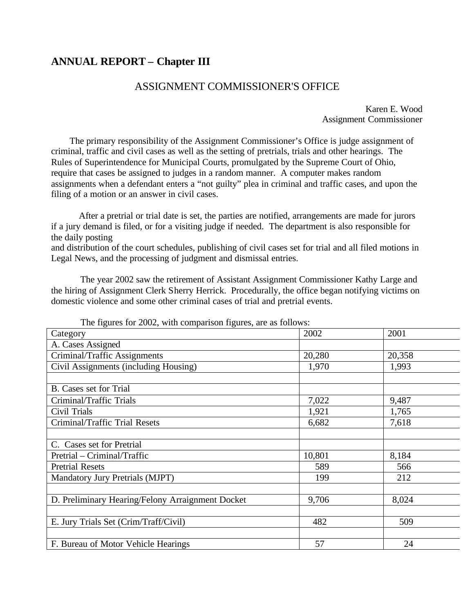# **ANNUAL REPORT – Chapter III**

# ASSIGNMENT COMMISSIONER'S OFFICE

 Karen E. Wood Assignment Commissioner

 The primary responsibility of the Assignment Commissioner's Office is judge assignment of criminal, traffic and civil cases as well as the setting of pretrials, trials and other hearings. The Rules of Superintendence for Municipal Courts, promulgated by the Supreme Court of Ohio, require that cases be assigned to judges in a random manner. A computer makes random assignments when a defendant enters a "not guilty" plea in criminal and traffic cases, and upon the filing of a motion or an answer in civil cases.

 After a pretrial or trial date is set, the parties are notified, arrangements are made for jurors if a jury demand is filed, or for a visiting judge if needed. The department is also responsible for the daily posting

and distribution of the court schedules, publishing of civil cases set for trial and all filed motions in Legal News, and the processing of judgment and dismissal entries.

 The year 2002 saw the retirement of Assistant Assignment Commissioner Kathy Large and the hiring of Assignment Clerk Sherry Herrick. Procedurally, the office began notifying victims on domestic violence and some other criminal cases of trial and pretrial events.

| $\frac{1}{100}$ and $\frac{1}{100}$ and $\frac{1}{100}$ and $\frac{1}{100}$ and $\frac{1}{100}$ and $\frac{1}{100}$ and $\frac{1}{100}$ and $\frac{1}{100}$ and $\frac{1}{100}$ and $\frac{1}{100}$ and $\frac{1}{100}$ and $\frac{1}{100}$ and $\frac{1}{100}$ and $\frac{1}{100}$ a<br>Category | 2002   | 2001   |
|---------------------------------------------------------------------------------------------------------------------------------------------------------------------------------------------------------------------------------------------------------------------------------------------------|--------|--------|
| A. Cases Assigned                                                                                                                                                                                                                                                                                 |        |        |
| Criminal/Traffic Assignments                                                                                                                                                                                                                                                                      | 20,280 | 20,358 |
| Civil Assignments (including Housing)                                                                                                                                                                                                                                                             | 1,970  | 1,993  |
|                                                                                                                                                                                                                                                                                                   |        |        |
| B. Cases set for Trial                                                                                                                                                                                                                                                                            |        |        |
| Criminal/Traffic Trials                                                                                                                                                                                                                                                                           | 7,022  | 9,487  |
| Civil Trials                                                                                                                                                                                                                                                                                      | 1,921  | 1,765  |
| Criminal/Traffic Trial Resets                                                                                                                                                                                                                                                                     | 6,682  | 7,618  |
|                                                                                                                                                                                                                                                                                                   |        |        |
| C. Cases set for Pretrial                                                                                                                                                                                                                                                                         |        |        |
| Pretrial – Criminal/Traffic                                                                                                                                                                                                                                                                       | 10,801 | 8,184  |
| <b>Pretrial Resets</b>                                                                                                                                                                                                                                                                            | 589    | 566    |
| Mandatory Jury Pretrials (MJPT)                                                                                                                                                                                                                                                                   | 199    | 212    |
|                                                                                                                                                                                                                                                                                                   |        |        |
| D. Preliminary Hearing/Felony Arraignment Docket                                                                                                                                                                                                                                                  | 9,706  | 8,024  |
|                                                                                                                                                                                                                                                                                                   |        |        |
| E. Jury Trials Set (Crim/Traff/Civil)                                                                                                                                                                                                                                                             | 482    | 509    |
|                                                                                                                                                                                                                                                                                                   |        |        |
| F. Bureau of Motor Vehicle Hearings                                                                                                                                                                                                                                                               | 57     | 24     |

The figures for 2002, with comparison figures, are as follows: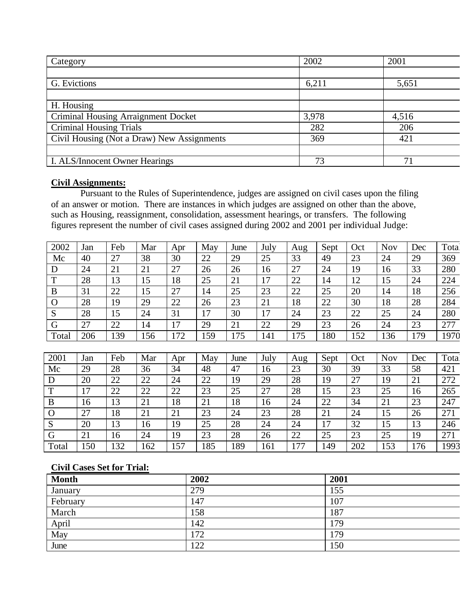| Category                                   | 2002  | 2001  |
|--------------------------------------------|-------|-------|
|                                            |       |       |
| G. Evictions                               | 6,211 | 5,651 |
|                                            |       |       |
| H. Housing                                 |       |       |
| Criminal Housing Arraignment Docket        | 3,978 | 4,516 |
| <b>Criminal Housing Trials</b>             | 282   | 206   |
| Civil Housing (Not a Draw) New Assignments | 369   | 421   |
|                                            |       |       |
| I. ALS/Innocent Owner Hearings             | 73    | 71    |

#### **Civil Assignments:**

 Pursuant to the Rules of Superintendence, judges are assigned on civil cases upon the filing of an answer or motion. There are instances in which judges are assigned on other than the above, such as Housing, reassignment, consolidation, assessment hearings, or transfers. The following figures represent the number of civil cases assigned during 2002 and 2001 per individual Judge:

| 2002     | Jan | Feb | Mar | Apr | May | June | July | Aug | Sept | Oct | Nov | Dec | Total |
|----------|-----|-----|-----|-----|-----|------|------|-----|------|-----|-----|-----|-------|
| Mc       | 40  | 27  | 38  | 30  | 22  | 29   | 25   | 33  | 49   | 23  | 24  | 29  | 369   |
| D        | 24  | 21  | 21  | 27  | 26  | 26   | 16   | 27  | 24   | 19  | 16  | 33  | 280   |
| T        | 28  | 13  | 15  | 18  | 25  | 21   | 17   | 22  | 14   | 12  | 15  | 24  | 224   |
| B        | 31  | 22  | 15  | 27  | 14  | 25   | 23   | 22  | 25   | 20  | 14  | 18  | 256   |
| $\Omega$ | 28  | 19  | 29  | 22  | 26  | 23   | 21   | 18  | 22   | 30  | 18  | 28  | 284   |
| S        | 28  | 15  | 24  | 31  | 17  | 30   | 17   | 24  | 23   | 22  | 25  | 24  | 280   |
| G        | 27  | 22  | 14  | 17  | 29  | 21   | 22   | 29  | 23   | 26  | 24  | 23  | 277   |
| Total    | 206 | 139 | 56  | 172 | 59  | 175  | 141  | 175 | 180  | 152 | 136 | 179 | 1970  |

| 2001     | Jan | Feb | Mar | Apr | May | June | July | Aug | Sept | Oct | <b>Nov</b> | Dec | Total |
|----------|-----|-----|-----|-----|-----|------|------|-----|------|-----|------------|-----|-------|
| Mc       | 29  | 28  | 36  | 34  | 48  | 47   | 16   | 23  | 30   | 39  | 33         | 58  | 421   |
| D        | 20  | 22  | 22  | 24  | 22  | 19   | 29   | 28  | 19   | 27  | 19         | 21  | 272   |
| m        | 17  | 22  | 22  | 22  | 23  | 25   | 27   | 28  | 15   | 23  | 25         | 16  | 265   |
| B        | 16  | 13  | 21  | 18  | 21  | 18   | 16   | 24  | 22   | 34  | 21         | 23  | 247   |
| $\Omega$ | 27  | 18  | 21  | 21  | 23  | 24   | 23   | 28  | 21   | 24  | 15         | 26  | 271   |
| S        | 20  | 13  | 16  | 19  | 25  | 28   | 24   | 24  | 17   | 32  | 15         | 13  | 246   |
| G        | 21  | 16  | 24  | 19  | 23  | 28   | 26   | 22  | 25   | 23  | 25         | 19  | 271   |
| Total    | 150 | 32  | 162 | .57 | 185 | 189  | 161  | 77  | 149  | 202 | 153        | 176 | 1993  |

#### **Civil Cases Set for Trial:**

| <b>Month</b> | 2002 | 2001 |
|--------------|------|------|
| January      | 279  | 155  |
| February     | 147  | 107  |
| March        | 158  | 187  |
| April        | 142  | 179  |
| May          | 172  | 179  |
| June         | 122  | 150  |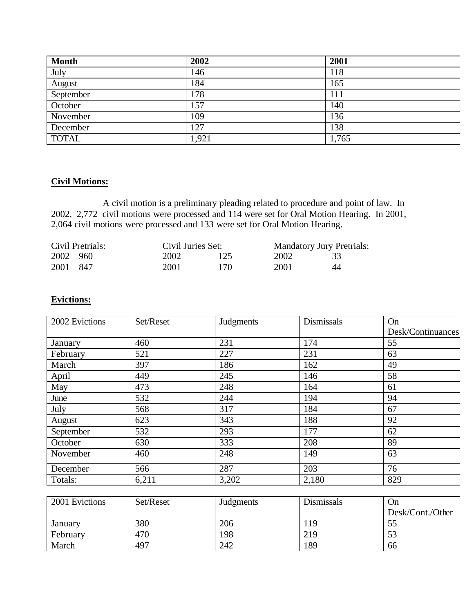| <b>Month</b> | 2002  | 2001  |
|--------------|-------|-------|
| July         | 146   | 118   |
| August       | 184   | 165   |
| September    | 178   | 111   |
| October      | 157   | 140   |
| November     | 109   | 136   |
| December     | 127   | 138   |
| <b>TOTAL</b> | 1,921 | 1,765 |

### **Civil Motions:**

 A civil motion is a preliminary pleading related to procedure and point of law. In 2002, 2,772 civil motions were processed and 114 were set for Oral Motion Hearing. In 2001, 2,064 civil motions were processed and 133 were set for Oral Motion Hearing.

| Civil Pretrials: |  | Civil Juries Set: |     | <b>Mandatory Jury Pretrials:</b> |    |  |
|------------------|--|-------------------|-----|----------------------------------|----|--|
| 2002 960         |  | 2002              | 125 | 2002                             |    |  |
| 2001 847         |  | 2001              | 170 | 2001                             | 44 |  |

# **Evictions:**

| 2002 Evictions | Set/Reset | Judgments | Dismissals | <b>On</b>         |
|----------------|-----------|-----------|------------|-------------------|
|                |           |           |            | Desk/Continuances |
| January        | 460       | 231       | 174        | 55                |
| February       | 521       | 227       | 231        | 63                |
| March          | 397       | 186       | 162        | 49                |
| April          | 449       | 245       | 146        | 58                |
| May            | 473       | 248       | 164        | 61                |
| June           | 532       | 244       | 194        | 94                |
| July           | 568       | 317       | 184        | 67                |
| August         | 623       | 343       | 188        | 92                |
| September      | 532       | 293       | 177        | 62                |
| October        | 630       | 333       | 208        | 89                |
| November       | 460       | 248       | 149        | 63                |
| December       | 566       | 287       | 203        | 76                |
| Totals:        | 6,211     | 3,202     | 2,180      | 829               |
|                |           |           |            |                   |
| 2001 Evictions | Set/Reset | Judgments | Dismissals | <b>On</b>         |
|                |           |           |            | Desk/Cont./Other  |
| January        | 380       | 206       | 119        | 55                |
| February       | 470       | 198       | 219        | 53                |

March 197 242 189 66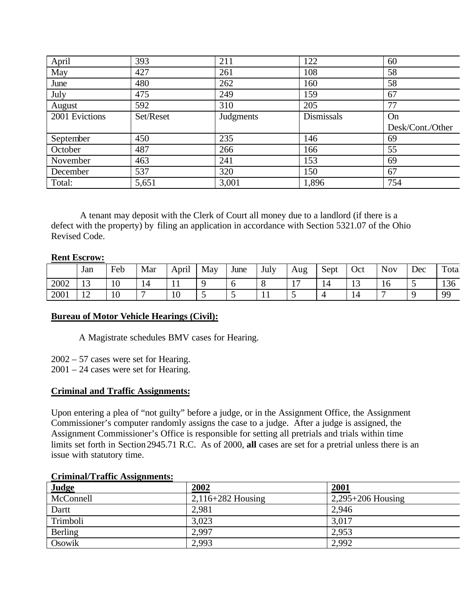| April          | 393       | 211       | 122        | 60               |
|----------------|-----------|-----------|------------|------------------|
| May            | 427       | 261       | 108        | 58               |
| June           | 480       | 262       | 160        | 58               |
| July           | 475       | 249       | 159        | 67               |
| August         | 592       | 310       | 205        | 77               |
| 2001 Evictions | Set/Reset | Judgments | Dismissals | <b>On</b>        |
|                |           |           |            |                  |
|                |           |           |            | Desk/Cont./Other |
| September      | 450       | 235       | 146        | 69               |
| October        | 487       | 266       | 166        | 55               |
| November       | 463       | 241       | 153        | 69               |
| December       | 537       | 320       | 150        | 67               |

 A tenant may deposit with the Clerk of Court all money due to a landlord (if there is a defect with the property) by filing an application in accordance with Section 5321.07 of the Ohio Revised Code.

#### **Rent Escrow:**

|      | Jan                 | Feb | Mar | $\cdot$ .<br>April | May | June | July | Aug                           | Sept | Oct                  | <b>Nov</b> | Dec | Total         |
|------|---------------------|-----|-----|--------------------|-----|------|------|-------------------------------|------|----------------------|------------|-----|---------------|
| 2002 | $\sim$<br>⊥ J       | 10  | 14  |                    |     |      |      | -<br>$\overline{\phantom{a}}$ | 14   | 1 <sub>2</sub><br>⊥⊃ | 1 C        | ~   | $\sim$<br>130 |
| 2001 | 1 <sub>0</sub><br>∸ | 10  |     | 10                 | ັ   | ~    | . .  | ັ                             |      | 14                   | -          |     | 99            |

#### **Bureau of Motor Vehicle Hearings (Civil):**

A Magistrate schedules BMV cases for Hearing.

2002 – 57 cases were set for Hearing.

2001 – 24 cases were set for Hearing.

#### **Criminal and Traffic Assignments:**

Upon entering a plea of "not guilty" before a judge, or in the Assignment Office, the Assignment Commissioner's computer randomly assigns the case to a judge. After a judge is assigned, the Assignment Commissioner's Office is responsible for setting all pretrials and trials within time limits set forth in Section 2945.71 R.C. As of 2000, **all** cases are set for a pretrial unless there is an issue with statutory time.

| Judge     | 2002                  | 2001                |  |  |  |  |  |  |
|-----------|-----------------------|---------------------|--|--|--|--|--|--|
| McConnell | $2,116 + 282$ Housing | $2,295+206$ Housing |  |  |  |  |  |  |
| Dartt     | 2,981                 | 2,946               |  |  |  |  |  |  |
| Trimboli  | 3,023                 | 3,017               |  |  |  |  |  |  |
| Berling   | 2,997                 | 2,953               |  |  |  |  |  |  |
| Osowik    | 2,993                 | 2,992               |  |  |  |  |  |  |

#### **Criminal/Traffic Assignments:**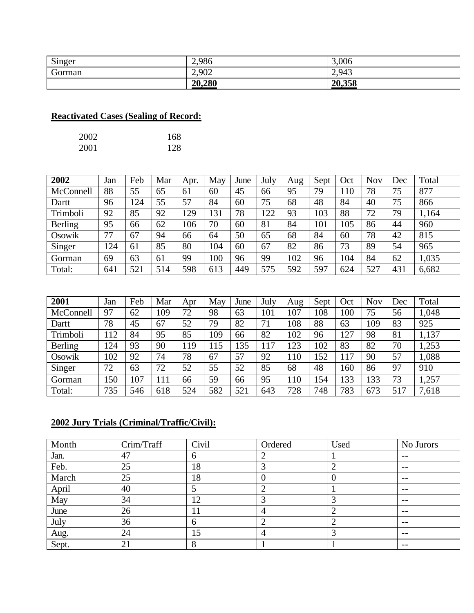| Singer | 2,986  | 3,006  |
|--------|--------|--------|
| Gorman | 2,902  | 2,943  |
|        | 20,280 | 20,358 |

# **Reactivated Cases (Sealing of Record:**

| 2002 | 168 |
|------|-----|
| 2001 | 128 |

| 2002      | Jan | Feb | Mar | Apr. | May | June | July | Aug | Sept | Oct | <b>Nov</b> | Dec | Total |
|-----------|-----|-----|-----|------|-----|------|------|-----|------|-----|------------|-----|-------|
| McConnell | 88  | 55  | 65  | 61   | 60  | 45   | 66   | 95  | 79   | 110 | 78         | 75  | 877   |
| Dartt     | 96  | 124 | 55  | 57   | 84  | 60   | 75   | 68  | 48   | 84  | 40         | 75  | 866   |
| Trimboli  | 92  | 85  | 92  | 129  | 131 | 78   | 122  | 93  | 103  | 88  | 72         | 79  | 1,164 |
| Berling   | 95  | 66  | 62  | 106  | 70  | 60   | 81   | 84  | 101  | 105 | 86         | 44  | 960   |
| Osowik    | 77  | 67  | 94  | 66   | 64  | 50   | 65   | 68  | 84   | 60  | 78         | 42  | 815   |
| Singer    | 124 | 61  | 85  | 80   | 104 | 60   | 67   | 82  | 86   | 73  | 89         | 54  | 965   |
| Gorman    | 69  | 63  | 61  | 99   | 100 | 96   | 99   | 102 | 96   | 104 | 84         | 62  | 1,035 |
| Total:    | 641 | 521 | 514 | 598  | 613 | 449  | 575  | 592 | 597  | 624 | 527        | 431 | 6,682 |

| 2001      | Jan | Feb | Mar | Apr | May | June | July | Aug | Sept | Oct | <b>Nov</b> | Dec | Total |
|-----------|-----|-----|-----|-----|-----|------|------|-----|------|-----|------------|-----|-------|
| McConnell | 97  | 62  | 109 | 72  | 98  | 63   | 101  | 107 | 108  | 100 | 75         | 56  | 1,048 |
| Dartt     | 78  | 45  | 67  | 52  | 79  | 82   | 71   | 108 | 88   | 63  | 109        | 83  | 925   |
| Trimboli  | 112 | 84  | 95  | 85  | 109 | 66   | 82   | 102 | 96   | 127 | 98         | 81  | 1,137 |
| Berling   | 124 | 93  | 90  | 19  | 115 | 135  | 117  | 123 | 102  | 83  | 82         | 70  | 1,253 |
| Osowik    | 102 | 92  | 74  | 78  | 67  | 57   | 92   | 110 | 152  | 117 | 90         | 57  | 1,088 |
| Singer    | 72  | 63  | 72  | 52  | 55  | 52   | 85   | 68  | 48   | 160 | 86         | 97  | 910   |
| Gorman    | 150 | 107 |     | 66  | 59  | 66   | 95   | 110 | 154  | 133 | 133        | 73  | 1,257 |
| Total:    | 735 | 546 | 618 | 524 | 582 | 521  | 643  | 728 | 748  | 783 | 673        | 517 | 7,618 |

# **2002 Jury Trials (Criminal/Traffic/Civil):**

| Month | Crim/Traff | Civil | Ordered | Used | No Jurors |
|-------|------------|-------|---------|------|-----------|
| Jan.  | 47         | 6     |         |      | $- -$     |
| Feb.  | 25         | 18    |         |      | $- -$     |
| March | 25         | 18    | v       |      | $- -$     |
| April | 40         |       |         |      | --        |
| May   | 34         | 12    | ◠       |      | $ -$      |
| June  | 26         | 11    | 4       |      | $- -$     |
| July  | 36         | 6     |         |      | --        |
| Aug.  | 24         | 15    | 4       |      | $- -$     |
| Sept. | 21         | 8     |         |      | $- -$     |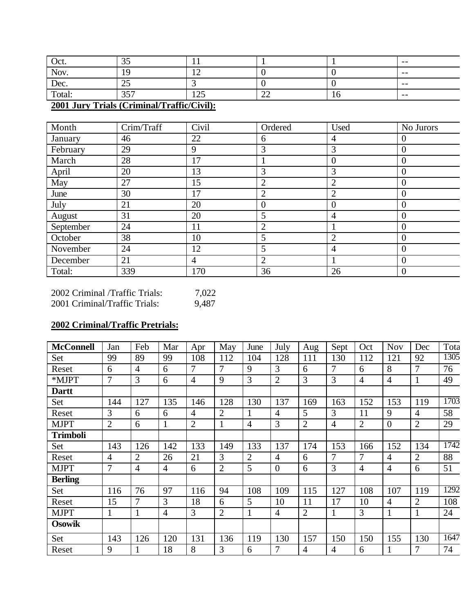| Oct.     | ⌒ 冖<br>JJ    |              |              |    | $- -$ |  |  |  |
|----------|--------------|--------------|--------------|----|-------|--|--|--|
| Nov.     | 19           |              |              |    | $- -$ |  |  |  |
| Dec.     | ر∠           |              |              |    | $- -$ |  |  |  |
| Total:   | 357          | $1 \wedge r$ | $\sim$<br>∠∠ | 10 | $- -$ |  |  |  |
| $\cdots$ | and come and |              |              |    |       |  |  |  |

# **2001 Jury Trials (Criminal/Traffic/Civil):**

| Month     | Crim/Traff | Civil          | Ordered        | Used           | No Jurors      |
|-----------|------------|----------------|----------------|----------------|----------------|
| January   | 46         | 22             | 6              | $\overline{4}$ | $\Omega$       |
| February  | 29         | 9              | 3              | 3              | $\overline{0}$ |
| March     | 28         | 17             |                | $\overline{0}$ | $\theta$       |
| April     | 20         | 13             | 3              | 3              | $\Omega$       |
| May       | 27         | 15             | $\overline{2}$ | $\overline{2}$ | $\overline{0}$ |
| June      | 30         | 17             | $\overline{2}$ | $\overline{2}$ | $\overline{0}$ |
| July      | 21         | 20             | $\overline{0}$ | $\overline{0}$ | $\overline{0}$ |
| August    | 31         | 20             | 5              | 4              | $\overline{0}$ |
| September | 24         | 11             | $\overline{2}$ |                | $\Omega$       |
| October   | 38         | 10             | 5              | $\overline{2}$ | $\overline{0}$ |
| November  | 24         | 12             | 5              | $\overline{4}$ | $\overline{0}$ |
| December  | 21         | $\overline{4}$ | 2              |                | $\Omega$       |
| Total:    | 339        | 170            | 36             | 26             | $\Omega$       |

| 2002 Criminal /Traffic Trials: | 7,022 |
|--------------------------------|-------|
| 2001 Criminal/Traffic Trials:  | 9,487 |

# **2002 Criminal/Traffic Pretrials:**

| <b>McConnell</b> | Jan            | Feb            | Mar            | Apr            | May            | June           | July           | Aug            | Sept           | Oct            | <b>Nov</b>     | Dec            | Tota |
|------------------|----------------|----------------|----------------|----------------|----------------|----------------|----------------|----------------|----------------|----------------|----------------|----------------|------|
| Set              | 99             | 89             | 99             | 108            | 112            | 104            | 128            | 111            | 130            | 112            | 121            | 92             | 1305 |
| Reset            | 6              | $\overline{4}$ | 6              | 7              | $\overline{7}$ | 9              | 3              | 6              | $\overline{7}$ | 6              | 8              | $\overline{7}$ | 76   |
| *MJPT            | 7              | 3              | 6              | $\overline{4}$ | 9              | 3              | $\overline{2}$ | 3              | 3              | $\overline{4}$ | $\overline{4}$ | $\mathbf{1}$   | 49   |
| <b>Dartt</b>     |                |                |                |                |                |                |                |                |                |                |                |                |      |
| Set              | 144            | 127            | 135            | 146            | 128            | 130            | 137            | 169            | 163            | 152            | 153            | 119            | 1703 |
| Reset            | 3              | 6              | 6              | $\overline{4}$ | $\overline{2}$ |                | $\overline{4}$ | 5              | 3              | 11             | 9              | $\overline{4}$ | 58   |
| <b>MJPT</b>      | $\overline{2}$ | 6              | $\mathbf{1}$   | $\overline{2}$ | $\mathbf{1}$   | $\overline{4}$ | 3              | $\overline{2}$ | $\overline{4}$ | $\overline{2}$ | $\overline{0}$ | $\overline{2}$ | 29   |
| <b>Trimboli</b>  |                |                |                |                |                |                |                |                |                |                |                |                |      |
| Set              | 143            | 126            | 142            | 133            | 149            | 133            | 137            | 174            | 153            | 166            | 152            | 134            | 1742 |
| Reset            | $\overline{4}$ | $\overline{2}$ | 26             | 21             | 3              | $\overline{2}$ | $\overline{4}$ | 6              | $\overline{7}$ | $\overline{7}$ | $\overline{4}$ | $\overline{2}$ | 88   |
| <b>MJPT</b>      | 7              | $\overline{4}$ | $\overline{4}$ | 6              | $\overline{2}$ | 5              | $\overline{0}$ | 6              | 3              | $\overline{4}$ | $\overline{4}$ | 6              | 51   |
| <b>Berling</b>   |                |                |                |                |                |                |                |                |                |                |                |                |      |
| Set              | 116            | 76             | 97             | 116            | 94             | 108            | 109            | 115            | 127            | 108            | 107            | 119            | 1292 |
| Reset            | 15             | 7              | 3              | 18             | 6              | 5              | 10             | 11             | 17             | 10             | $\overline{4}$ | $\overline{2}$ | 108  |
| <b>MJPT</b>      | 1              | 1              | $\overline{4}$ | 3              | $\overline{2}$ | $\mathbf{1}$   | $\overline{4}$ | $\overline{2}$ | $\mathbf{1}$   | 3              | $\mathbf{1}$   | $\mathbf{1}$   | 24   |
| <b>Osowik</b>    |                |                |                |                |                |                |                |                |                |                |                |                |      |
| Set              | 143            | 126            | 120            | 131            | 136            | 119            | 130            | 157            | 150            | 150            | 155            | 130            | 1647 |
| Reset            | 9              | 1              | 18             | 8              | 3              | 6              | 7              | 4              | 4              | 6              | 1              | 7              | 74   |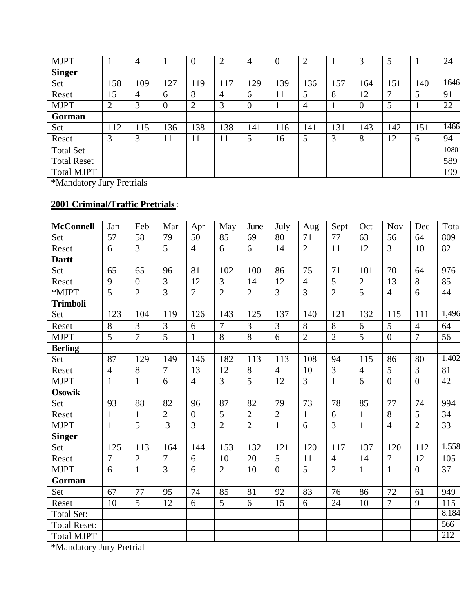| <b>MJPT</b>        |                | $\overline{4}$ |                | $\overline{0}$ | 2   | 4        | $\overline{0}$ | $\overline{2}$ |     | 3              | 5   |     | 24   |
|--------------------|----------------|----------------|----------------|----------------|-----|----------|----------------|----------------|-----|----------------|-----|-----|------|
| <b>Singer</b>      |                |                |                |                |     |          |                |                |     |                |     |     |      |
| Set                | 158            | 109            | 127            | 119            | 117 | 29       | 139            | 136            | 157 | 164            | 151 | 140 | 1646 |
| Reset              | 15             | 4              | 6              | 8              | 4   | 6        | 11             | 5              | 8   | 12             | 7   | 5   | 91   |
| <b>MJPT</b>        | $\overline{2}$ | 3              | $\overline{0}$ | $\overline{2}$ | 3   | $\theta$ |                | $\overline{4}$ |     | $\overline{0}$ | 5   |     | 22   |
| Gorman             |                |                |                |                |     |          |                |                |     |                |     |     |      |
| Set                | 112            | 115            | 136            | 138            | 138 | 141      | 116            | 141            | 131 | 143            | 142 | 151 | 1466 |
| Reset              | 3              | 3              | 11             | 11             | 11  | 5        | 16             | 5              | 3   | 8              | 12  | 6   | 94   |
| <b>Total Set</b>   |                |                |                |                |     |          |                |                |     |                |     |     | 1080 |
| <b>Total Reset</b> |                |                |                |                |     |          |                |                |     |                |     |     | 589  |
| <b>Total MJPT</b>  |                |                |                |                |     |          |                |                |     |                |     |     | 199  |

\*Mandatory Jury Pretrials

# **2001 Criminal/Traffic Pretrials**:

| <b>McConnell</b>    | Jan            | Feb            | Mar            | Apr            | May             | June           | July           | Aug            | Sept            | Oct            | <b>Nov</b>       | Dec            | Tota            |
|---------------------|----------------|----------------|----------------|----------------|-----------------|----------------|----------------|----------------|-----------------|----------------|------------------|----------------|-----------------|
| Set                 | 57             | 58             | 79             | 50             | 85              | 69             | 80             | 71             | 77              | 63             | 56               | 64             | 809             |
| Reset               | 6              | $\overline{3}$ | $\overline{5}$ | $\overline{4}$ | 6               | 6              | 14             | $\overline{2}$ | 11              | 12             | $\overline{3}$   | 10             | 82              |
| <b>Dartt</b>        |                |                |                |                |                 |                |                |                |                 |                |                  |                |                 |
| Set                 | 65             | 65             | 96             | 81             | 102             | 100            | 86             | 75             | 71              | 101            | 70               | 64             | 976             |
| Reset               | 9              | $\overline{0}$ | 3              | 12             | 3               | 14             | 12             | $\overline{4}$ | $5\overline{)}$ | $\overline{2}$ | 13               | 8              | 85              |
| *MJPT               | $\overline{5}$ | $\overline{2}$ | 3              | $\overline{7}$ | $\overline{2}$  | $\overline{2}$ | $\overline{3}$ | 3              | $\overline{2}$  | $\overline{5}$ | $\overline{4}$   | 6              | 44              |
| <b>Trimboli</b>     |                |                |                |                |                 |                |                |                |                 |                |                  |                |                 |
| Set                 | 123            | 104            | 119            | 126            | 143             | 125            | 137            | 140            | 121             | 132            | 115              | 111            | 1,496           |
| Reset               | 8              | 3              | 3              | 6              | 7               | 3              | 3              | 8              | 8               | 6              | 5                | $\overline{4}$ | 64              |
| <b>MJPT</b>         | $\overline{5}$ | $\overline{7}$ | $\overline{5}$ | $\mathbf{1}$   | $\overline{8}$  | $\overline{8}$ | 6              | $\overline{2}$ | $\overline{2}$  | $\overline{5}$ | $\overline{0}$   | $\overline{7}$ | 56              |
| <b>Berling</b>      |                |                |                |                |                 |                |                |                |                 |                |                  |                |                 |
| Set                 | 87             | 129            | 149            | 146            | 182             | 113            | 113            | 108            | 94              | 115            | 86               | 80             | 1,402           |
| Reset               | $\overline{4}$ | 8              | 7              | 13             | 12              | 8              | $\overline{4}$ | 10             | 3               | $\overline{4}$ | 5                | $\overline{3}$ | 81              |
| <b>MJPT</b>         | $\mathbf{1}$   | $\mathbf{1}$   | 6              | $\overline{4}$ | $\overline{3}$  | 5              | 12             | $\overline{3}$ | $\mathbf{1}$    | 6              | $\boldsymbol{0}$ | $\overline{0}$ | 42              |
| <b>Osowik</b>       |                |                |                |                |                 |                |                |                |                 |                |                  |                |                 |
| Set                 | 93             | 88             | 82             | 96             | 87              | 82             | 79             | 73             | 78              | 85             | 77               | 74             | 994             |
| Reset               | $\mathbf{1}$   | $\mathbf{1}$   | $\overline{2}$ | $\overline{0}$ | 5               | $\overline{2}$ | $\overline{2}$ | $\mathbf{1}$   | 6               | $\mathbf{1}$   | 8                | $\overline{5}$ | 34              |
| <b>MJPT</b>         | $\mathbf{1}$   | 5              | 3              | 3              | $\overline{2}$  | $\overline{2}$ | $\mathbf{1}$   | 6              | 3               | $\mathbf{1}$   | $\overline{4}$   | $\overline{2}$ | 33              |
| <b>Singer</b>       |                |                |                |                |                 |                |                |                |                 |                |                  |                |                 |
| Set                 | 125            | 113            | 164            | 144            | 153             | 132            | 121            | 120            | 117             | 137            | 120              | 112            | 1,558           |
| Reset               | 7              | $\overline{2}$ | $\overline{7}$ | 6              | 10              | 20             | 5              | 11             | $\overline{4}$  | 14             | $\overline{7}$   | 12             | 105             |
| <b>MJPT</b>         | 6              | $\mathbf{1}$   | $\overline{3}$ | 6              | $\overline{2}$  | 10             | $\overline{0}$ | $\overline{5}$ | $\overline{2}$  | $\mathbf{1}$   | $\mathbf{1}$     | $\overline{0}$ | $\overline{37}$ |
| Gorman              |                |                |                |                |                 |                |                |                |                 |                |                  |                |                 |
| Set                 | 67             | 77             | 95             | 74             | 85              | 81             | 92             | 83             | 76              | 86             | 72               | 61             | 949             |
| Reset               | 10             | 5              | 12             | 6              | $5\overline{)}$ | 6              | 15             | 6              | 24              | 10             | $\overline{7}$   | 9              | 115             |
| <b>Total Set:</b>   |                |                |                |                |                 |                |                |                |                 |                |                  |                | 8,184           |
| <b>Total Reset:</b> |                |                |                |                |                 |                |                |                |                 |                |                  |                | 566             |
| <b>Total MJPT</b>   |                |                |                |                |                 |                |                |                |                 |                |                  |                | 212             |

\*Mandatory Jury Pretrial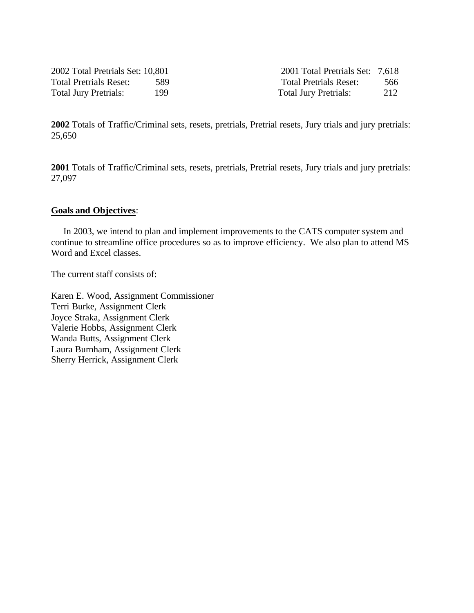2002 Total Pretrials Set: 10,801 2001 Total Pretrials Set: 7,618

Total Pretrials Reset: 589 Total Pretrials Reset: 566 Total Jury Pretrials: 199 Total Jury Pretrials: 212

**2002** Totals of Traffic/Criminal sets, resets, pretrials, Pretrial resets, Jury trials and jury pretrials: 25,650

**2001** Totals of Traffic/Criminal sets, resets, pretrials, Pretrial resets, Jury trials and jury pretrials: 27,097

#### **Goals and Objectives**:

 In 2003, we intend to plan and implement improvements to the CATS computer system and continue to streamline office procedures so as to improve efficiency. We also plan to attend MS Word and Excel classes.

The current staff consists of:

Karen E. Wood, Assignment Commissioner Terri Burke, Assignment Clerk Joyce Straka, Assignment Clerk Valerie Hobbs, Assignment Clerk Wanda Butts, Assignment Clerk Laura Burnham, Assignment Clerk Sherry Herrick, Assignment Clerk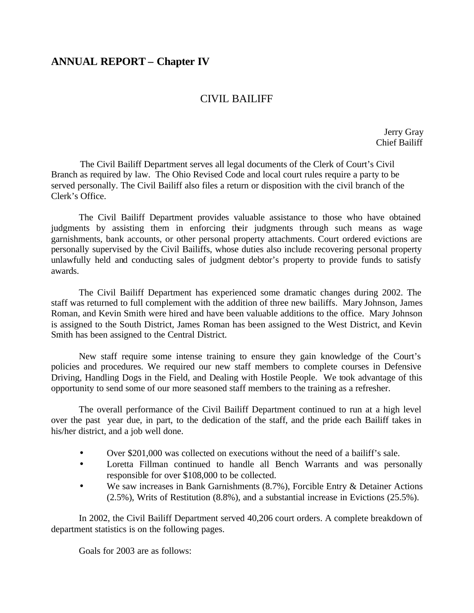# **ANNUAL REPORT – Chapter IV**

# CIVIL BAILIFF

 Jerry Gray Chief Bailiff

 The Civil Bailiff Department serves all legal documents of the Clerk of Court's Civil Branch as required by law. The Ohio Revised Code and local court rules require a party to be served personally. The Civil Bailiff also files a return or disposition with the civil branch of the Clerk's Office.

The Civil Bailiff Department provides valuable assistance to those who have obtained judgments by assisting them in enforcing their judgments through such means as wage garnishments, bank accounts, or other personal property attachments. Court ordered evictions are personally supervised by the Civil Bailiffs, whose duties also include recovering personal property unlawfully held and conducting sales of judgment debtor's property to provide funds to satisfy awards.

The Civil Bailiff Department has experienced some dramatic changes during 2002. The staff was returned to full complement with the addition of three new bailiffs. Mary Johnson, James Roman, and Kevin Smith were hired and have been valuable additions to the office. Mary Johnson is assigned to the South District, James Roman has been assigned to the West District, and Kevin Smith has been assigned to the Central District.

New staff require some intense training to ensure they gain knowledge of the Court's policies and procedures. We required our new staff members to complete courses in Defensive Driving, Handling Dogs in the Field, and Dealing with Hostile People. We took advantage of this opportunity to send some of our more seasoned staff members to the training as a refresher.

The overall performance of the Civil Bailiff Department continued to run at a high level over the past year due, in part, to the dedication of the staff, and the pride each Bailiff takes in his/her district, and a job well done.

- Over \$201,000 was collected on executions without the need of a bailiff's sale.
- Loretta Fillman continued to handle all Bench Warrants and was personally responsible for over \$108,000 to be collected.
- We saw increases in Bank Garnishments  $(8.7\%)$ , Forcible Entry & Detainer Actions (2.5%), Writs of Restitution (8.8%), and a substantial increase in Evictions (25.5%).

In 2002, the Civil Bailiff Department served 40,206 court orders. A complete breakdown of department statistics is on the following pages.

Goals for 2003 are as follows: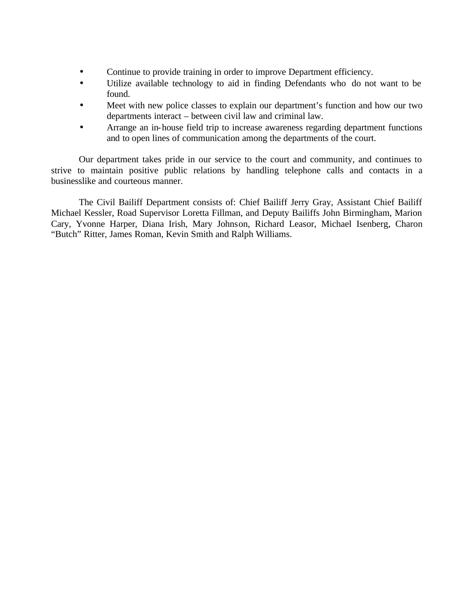- Continue to provide training in order to improve Department efficiency.
- Utilize available technology to aid in finding Defendants who do not want to be found.
- Meet with new police classes to explain our department's function and how our two departments interact – between civil law and criminal law.
- Arrange an in-house field trip to increase awareness regarding department functions and to open lines of communication among the departments of the court.

Our department takes pride in our service to the court and community, and continues to strive to maintain positive public relations by handling telephone calls and contacts in a businesslike and courteous manner.

The Civil Bailiff Department consists of: Chief Bailiff Jerry Gray, Assistant Chief Bailiff Michael Kessler, Road Supervisor Loretta Fillman, and Deputy Bailiffs John Birmingham, Marion Cary, Yvonne Harper, Diana Irish, Mary Johnson, Richard Leasor, Michael Isenberg, Charon "Butch" Ritter, James Roman, Kevin Smith and Ralph Williams.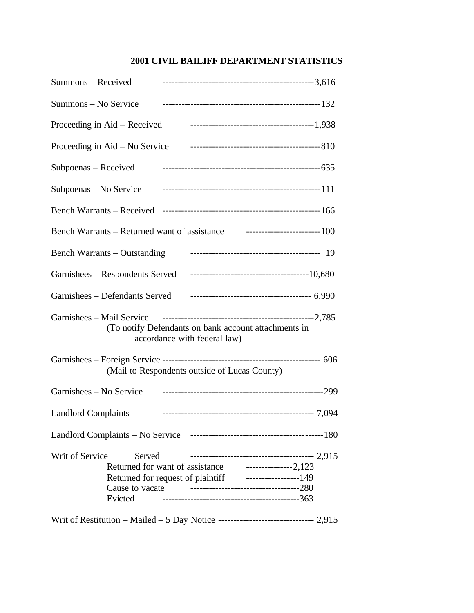# **2001 CIVIL BAILIFF DEPARTMENT STATISTICS**

| Summons - Received                   |                                                                                       |
|--------------------------------------|---------------------------------------------------------------------------------------|
| Summons - No Service                 |                                                                                       |
| Proceeding in Aid – Received         |                                                                                       |
|                                      |                                                                                       |
| Subpoenas - Received                 |                                                                                       |
| Subpoenas – No Service               |                                                                                       |
|                                      |                                                                                       |
|                                      | Bench Warrants – Returned want of assistance ———————————————————— 100                 |
| Bench Warrants – Outstanding         |                                                                                       |
| Garnishees – Respondents Served      |                                                                                       |
| Garnishees - Defendants Served       |                                                                                       |
|                                      | (To notify Defendants on bank account attachments in<br>accordance with federal law)  |
|                                      | (Mail to Respondents outside of Lucas County)                                         |
| Garnishees - No Service              |                                                                                       |
| <b>Landlord Complaints</b>           |                                                                                       |
|                                      |                                                                                       |
| Writ of Service<br>Served<br>Evicted | Returned for want of assistance ----------------2,123                                 |
|                                      | Writ of Restitution – Mailed – 5 Day Notice ----------------------------------- 2,915 |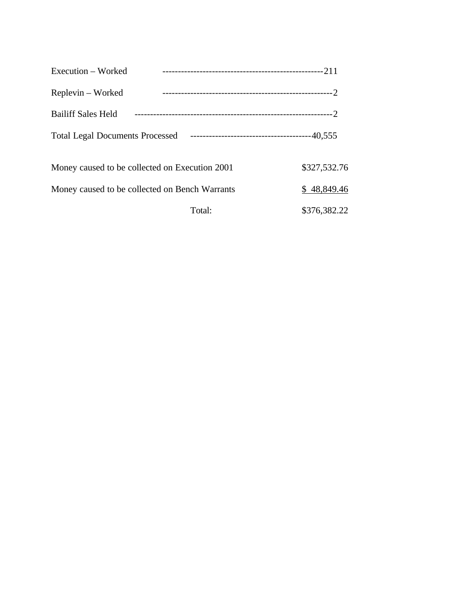| Execution – Worked                             |              |
|------------------------------------------------|--------------|
| Replevin – Worked                              |              |
| <b>Bailiff Sales Held</b>                      |              |
| <b>Total Legal Documents Processed</b>         |              |
| Money caused to be collected on Execution 2001 | \$327,532.76 |
| Money caused to be collected on Bench Warrants | \$48,849.46  |

Total: \$376,382.22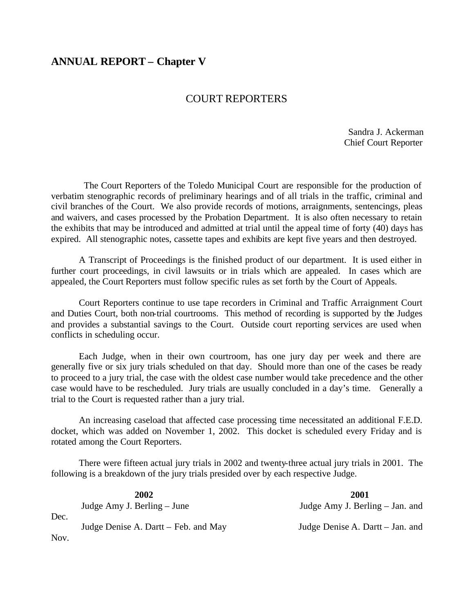# **ANNUAL REPORT – Chapter V**

### COURT REPORTERS

Sandra J. Ackerman Chief Court Reporter

 The Court Reporters of the Toledo Municipal Court are responsible for the production of verbatim stenographic records of preliminary hearings and of all trials in the traffic, criminal and civil branches of the Court. We also provide records of motions, arraignments, sentencings, pleas and waivers, and cases processed by the Probation Department. It is also often necessary to retain the exhibits that may be introduced and admitted at trial until the appeal time of forty (40) days has expired. All stenographic notes, cassette tapes and exhibits are kept five years and then destroyed.

A Transcript of Proceedings is the finished product of our department. It is used either in further court proceedings, in civil lawsuits or in trials which are appealed. In cases which are appealed, the Court Reporters must follow specific rules as set forth by the Court of Appeals.

Court Reporters continue to use tape recorders in Criminal and Traffic Arraignment Court and Duties Court, both non-trial courtrooms. This method of recording is supported by the Judges and provides a substantial savings to the Court. Outside court reporting services are used when conflicts in scheduling occur.

Each Judge, when in their own courtroom, has one jury day per week and there are generally five or six jury trials scheduled on that day. Should more than one of the cases be ready to proceed to a jury trial, the case with the oldest case number would take precedence and the other case would have to be rescheduled. Jury trials are usually concluded in a day's time. Generally a trial to the Court is requested rather than a jury trial.

An increasing caseload that affected case processing time necessitated an additional F.E.D. docket, which was added on November 1, 2002. This docket is scheduled every Friday and is rotated among the Court Reporters.

There were fifteen actual jury trials in 2002 and twenty-three actual jury trials in 2001. The following is a breakdown of the jury trials presided over by each respective Judge.

|      | 2002                                 | 2001                              |
|------|--------------------------------------|-----------------------------------|
| Dec. | Judge Amy J. Berling – June          | Judge Amy J. Berling $-$ Jan. and |
|      | Judge Denise A. Dartt – Feb. and May | Judge Denise A. Dartt – Jan. and  |
| Nov. |                                      |                                   |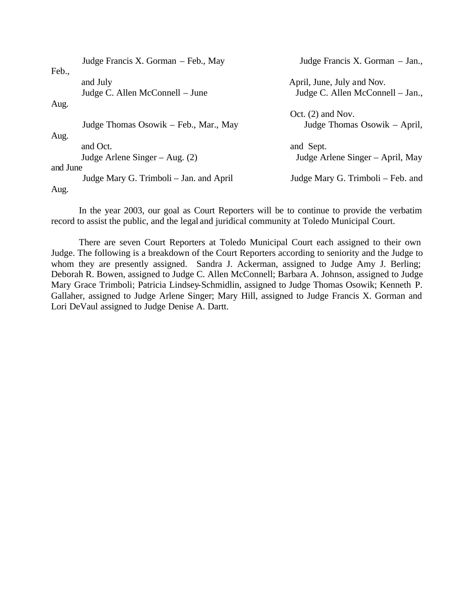|          | Judge Francis X. Gorman – Feb., May         | Judge Francis X. Gorman – Jan.,                                |
|----------|---------------------------------------------|----------------------------------------------------------------|
| Feb.,    | and July<br>Judge C. Allen McConnell – June | April, June, July and Nov.<br>Judge C. Allen McConnell – Jan., |
| Aug.     |                                             |                                                                |
| Aug.     | Judge Thomas Osowik – Feb., Mar., May       | Oct. $(2)$ and Nov.<br>Judge Thomas Osowik – April,            |
|          | and Oct.                                    | and Sept.                                                      |
|          | Judge Arlene Singer – Aug. $(2)$            | Judge Arlene Singer – April, May                               |
| and June |                                             |                                                                |
|          | Judge Mary G. Trimboli – Jan. and April     | Judge Mary G. Trimboli – Feb. and                              |
| Aug.     |                                             |                                                                |

In the year 2003, our goal as Court Reporters will be to continue to provide the verbatim record to assist the public, and the legal and juridical community at Toledo Municipal Court.

There are seven Court Reporters at Toledo Municipal Court each assigned to their own Judge. The following is a breakdown of the Court Reporters according to seniority and the Judge to whom they are presently assigned. Sandra J. Ackerman, assigned to Judge Amy J. Berling; Deborah R. Bowen, assigned to Judge C. Allen McConnell; Barbara A. Johnson, assigned to Judge Mary Grace Trimboli; Patricia Lindsey-Schmidlin, assigned to Judge Thomas Osowik; Kenneth P. Gallaher, assigned to Judge Arlene Singer; Mary Hill, assigned to Judge Francis X. Gorman and Lori DeVaul assigned to Judge Denise A. Dartt.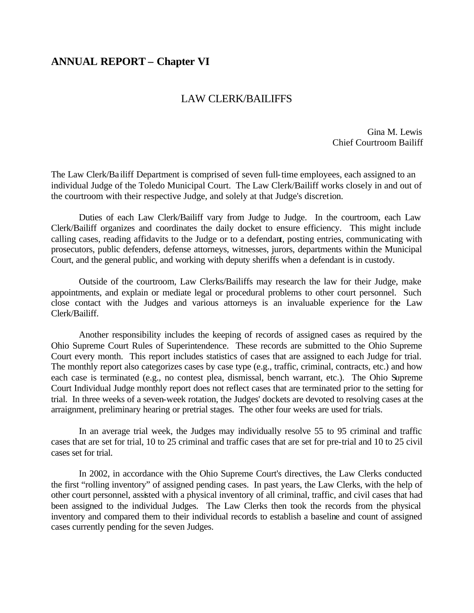# **ANNUAL REPORT – Chapter VI**

# LAW CLERK/BAILIFFS

Gina M. Lewis Chief Courtroom Bailiff

The Law Clerk/Ba iliff Department is comprised of seven full-time employees, each assigned to an individual Judge of the Toledo Municipal Court. The Law Clerk/Bailiff works closely in and out of the courtroom with their respective Judge, and solely at that Judge's discretion.

Duties of each Law Clerk/Bailiff vary from Judge to Judge. In the courtroom, each Law Clerk/Bailiff organizes and coordinates the daily docket to ensure efficiency. This might include calling cases, reading affidavits to the Judge or to a defendant, posting entries, communicating with prosecutors, public defenders, defense attorneys, witnesses, jurors, departments within the Municipal Court, and the general public, and working with deputy sheriffs when a defendant is in custody.

Outside of the courtroom, Law Clerks/Bailiffs may research the law for their Judge, make appointments, and explain or mediate legal or procedural problems to other court personnel. Such close contact with the Judges and various attorneys is an invaluable experience for the Law Clerk/Bailiff.

Another responsibility includes the keeping of records of assigned cases as required by the Ohio Supreme Court Rules of Superintendence. These records are submitted to the Ohio Supreme Court every month. This report includes statistics of cases that are assigned to each Judge for trial. The monthly report also categorizes cases by case type (e.g., traffic, criminal, contracts, etc.) and how each case is terminated (e.g., no contest plea, dismissal, bench warrant, etc.). The Ohio Supreme Court Individual Judge monthly report does not reflect cases that are terminated prior to the setting for trial. In three weeks of a seven-week rotation, the Judges' dockets are devoted to resolving cases at the arraignment, preliminary hearing or pretrial stages. The other four weeks are used for trials.

In an average trial week, the Judges may individually resolve 55 to 95 criminal and traffic cases that are set for trial, 10 to 25 criminal and traffic cases that are set for pre-trial and 10 to 25 civil cases set for trial.

In 2002, in accordance with the Ohio Supreme Court's directives, the Law Clerks conducted the first "rolling inventory" of assigned pending cases. In past years, the Law Clerks, with the help of other court personnel, assisted with a physical inventory of all criminal, traffic, and civil cases that had been assigned to the individual Judges. The Law Clerks then took the records from the physical inventory and compared them to their individual records to establish a baseline and count of assigned cases currently pending for the seven Judges.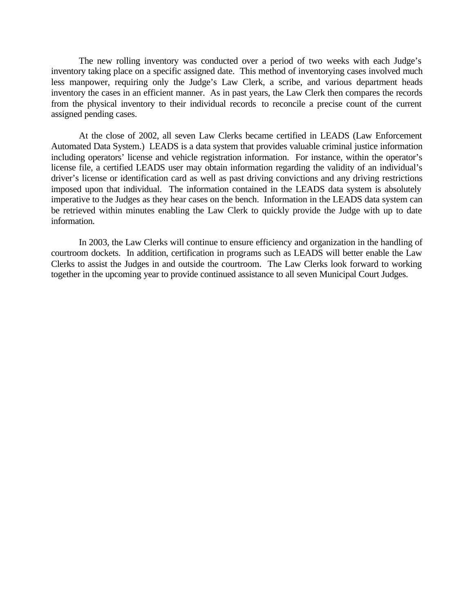The new rolling inventory was conducted over a period of two weeks with each Judge's inventory taking place on a specific assigned date. This method of inventorying cases involved much less manpower, requiring only the Judge's Law Clerk, a scribe, and various department heads inventory the cases in an efficient manner. As in past years, the Law Clerk then compares the records from the physical inventory to their individual records to reconcile a precise count of the current assigned pending cases.

At the close of 2002, all seven Law Clerks became certified in LEADS (Law Enforcement Automated Data System.) LEADS is a data system that provides valuable criminal justice information including operators' license and vehicle registration information. For instance, within the operator's license file, a certified LEADS user may obtain information regarding the validity of an individual's driver's license or identification card as well as past driving convictions and any driving restrictions imposed upon that individual. The information contained in the LEADS data system is absolutely imperative to the Judges as they hear cases on the bench. Information in the LEADS data system can be retrieved within minutes enabling the Law Clerk to quickly provide the Judge with up to date information.

In 2003, the Law Clerks will continue to ensure efficiency and organization in the handling of courtroom dockets. In addition, certification in programs such as LEADS will better enable the Law Clerks to assist the Judges in and outside the courtroom. The Law Clerks look forward to working together in the upcoming year to provide continued assistance to all seven Municipal Court Judges.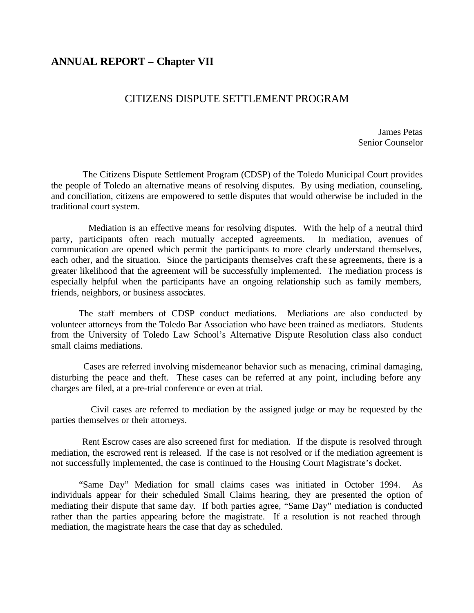# **ANNUAL REPORT – Chapter VII**

# CITIZENS DISPUTE SETTLEMENT PROGRAM

James Petas Senior Counselor

 The Citizens Dispute Settlement Program (CDSP) of the Toledo Municipal Court provides the people of Toledo an alternative means of resolving disputes. By using mediation, counseling, and conciliation, citizens are empowered to settle disputes that would otherwise be included in the traditional court system.

 Mediation is an effective means for resolving disputes. With the help of a neutral third party, participants often reach mutually accepted agreements. In mediation, avenues of communication are opened which permit the participants to more clearly understand themselves, each other, and the situation. Since the participants themselves craft the se agreements, there is a greater likelihood that the agreement will be successfully implemented. The mediation process is especially helpful when the participants have an ongoing relationship such as family members, friends, neighbors, or business associates.

 The staff members of CDSP conduct mediations. Mediations are also conducted by volunteer attorneys from the Toledo Bar Association who have been trained as mediators. Students from the University of Toledo Law School's Alternative Dispute Resolution class also conduct small claims mediations.

 Cases are referred involving misdemeanor behavior such as menacing, criminal damaging, disturbing the peace and theft. These cases can be referred at any point, including before any charges are filed, at a pre-trial conference or even at trial.

 Civil cases are referred to mediation by the assigned judge or may be requested by the parties themselves or their attorneys.

 Rent Escrow cases are also screened first for mediation. If the dispute is resolved through mediation, the escrowed rent is released. If the case is not resolved or if the mediation agreement is not successfully implemented, the case is continued to the Housing Court Magistrate's docket.

 "Same Day" Mediation for small claims cases was initiated in October 1994. As individuals appear for their scheduled Small Claims hearing, they are presented the option of mediating their dispute that same day. If both parties agree, "Same Day" mediation is conducted rather than the parties appearing before the magistrate. If a resolution is not reached through mediation, the magistrate hears the case that day as scheduled.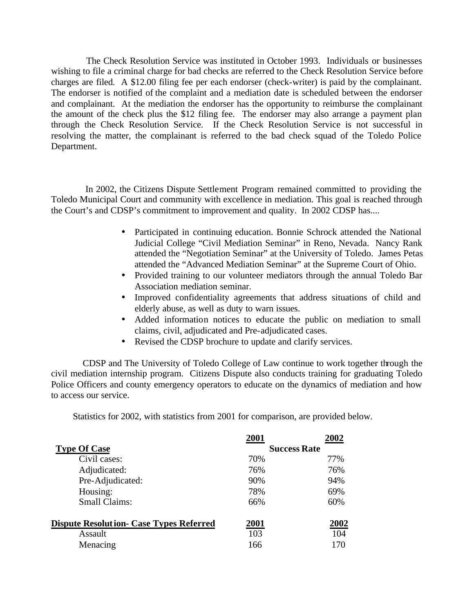The Check Resolution Service was instituted in October 1993. Individuals or businesses wishing to file a criminal charge for bad checks are referred to the Check Resolution Service before charges are filed. A \$12.00 filing fee per each endorser (check-writer) is paid by the complainant. The endorser is notified of the complaint and a mediation date is scheduled between the endorser and complainant. At the mediation the endorser has the opportunity to reimburse the complainant the amount of the check plus the \$12 filing fee. The endorser may also arrange a payment plan through the Check Resolution Service. If the Check Resolution Service is not successful in resolving the matter, the complainant is referred to the bad check squad of the Toledo Police Department.

 In 2002, the Citizens Dispute Settlement Program remained committed to providing the Toledo Municipal Court and community with excellence in mediation. This goal is reached through the Court's and CDSP's commitment to improvement and quality. In 2002 CDSP has....

- Participated in continuing education. Bonnie Schrock attended the National Judicial College "Civil Mediation Seminar" in Reno, Nevada. Nancy Rank attended the "Negotiation Seminar" at the University of Toledo. James Petas attended the "Advanced Mediation Seminar" at the Supreme Court of Ohio.
- Provided training to our volunteer mediators through the annual Toledo Bar Association mediation seminar.
- Improved confidentiality agreements that address situations of child and elderly abuse, as well as duty to warn issues.
- Added information notices to educate the public on mediation to small claims, civil, adjudicated and Pre-adjudicated cases.
- Revised the CDSP brochure to update and clarify services.

 CDSP and The University of Toledo College of Law continue to work together through the civil mediation internship program. Citizens Dispute also conducts training for graduating Toledo Police Officers and county emergency operators to educate on the dynamics of mediation and how to access our service.

Statistics for 2002, with statistics from 2001 for comparison, are provided below.

|                                                | 2001 | 2002                |
|------------------------------------------------|------|---------------------|
| <b>Type Of Case</b>                            |      | <b>Success Rate</b> |
| Civil cases:                                   | 70%  | 77%                 |
| Adjudicated:                                   | 76%  | 76%                 |
| Pre-Adjudicated:                               | 90%  | 94%                 |
| Housing:                                       | 78%  | 69%                 |
| <b>Small Claims:</b>                           | 66%  | 60%                 |
| <b>Dispute Resolution- Case Types Referred</b> | 2001 | 2002                |
| Assault                                        | 103  | 104                 |
| Menacing                                       | 166  | 170                 |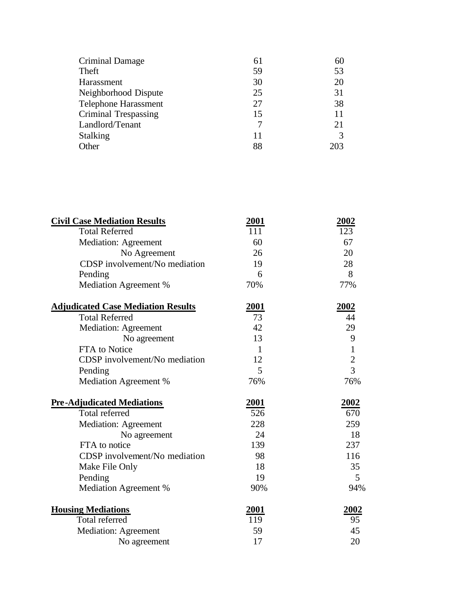| <b>Criminal Damage</b>      |    | 60  |
|-----------------------------|----|-----|
| Theft                       | 59 | 53  |
| Harassment                  | 30 | 20  |
| Neighborhood Dispute        | 25 | 31  |
| <b>Telephone Harassment</b> | 27 | 38  |
| <b>Criminal Trespassing</b> | 15 | 11  |
| Landlord/Tenant             |    | 21  |
| <b>Stalking</b>             | 11 |     |
| Other                       | 88 | 203 |

| <b>Civil Case Mediation Results</b>       | 2001         | 2002           |
|-------------------------------------------|--------------|----------------|
| <b>Total Referred</b>                     | 111          | 123            |
| Mediation: Agreement                      | 60           | 67             |
| No Agreement                              | 26           | 20             |
| CDSP involvement/No mediation             | 19           | 28             |
| Pending                                   | 6            | 8              |
| Mediation Agreement %                     | 70%          | 77%            |
| <b>Adjudicated Case Mediation Results</b> | 2001         | 2002           |
| <b>Total Referred</b>                     | 73           | 44             |
| <b>Mediation: Agreement</b>               | 42           | 29             |
| No agreement                              | 13           | 9              |
| FTA to Notice                             | $\mathbf{1}$ | $\mathbf{1}$   |
| CDSP involvement/No mediation             | 12           | $\overline{2}$ |
| Pending                                   | 5            | $\overline{3}$ |
| Mediation Agreement %                     | 76%          | 76%            |
| <b>Pre-Adjudicated Mediations</b>         | 2001         | 2002           |
| Total referred                            | 526          | 670            |
| <b>Mediation: Agreement</b>               | 228          | 259            |
| No agreement                              | 24           | 18             |
| FTA to notice                             | 139          | 237            |
| CDSP involvement/No mediation             | 98           | 116            |
| Make File Only                            | 18           | 35             |
| Pending                                   | 19           | 5              |
| Mediation Agreement %                     | 90%          | 94%            |
| <b>Housing Mediations</b>                 | 2001         | 2002           |
| Total referred                            | 119          | 95             |
| Mediation: Agreement                      | 59           | 45             |
| No agreement                              | 17           | 20             |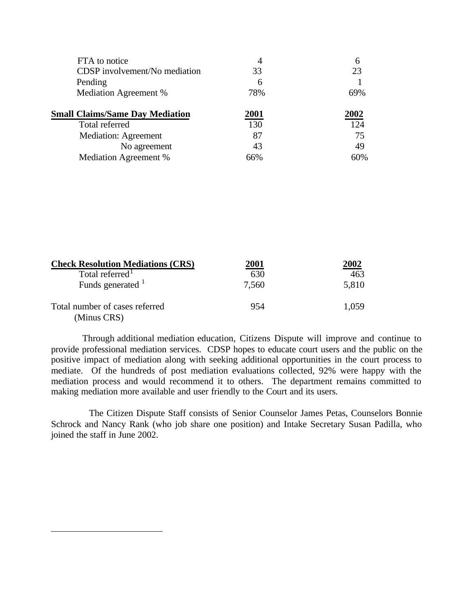| FTA to notice                          |      |      |
|----------------------------------------|------|------|
| CDSP involvement/No mediation          | 33   | 23   |
| Pending                                | 6    |      |
| Mediation Agreement %                  | 78%  | 69%  |
| <b>Small Claims/Same Day Mediation</b> | 2001 | 2002 |
| Total referred                         | 130  | 124  |
| <b>Mediation: Agreement</b>            | 87   | 75   |
| No agreement                           | 43   | 49   |
|                                        |      |      |

| <b>Check Resolution Mediations (CRS)</b>      | <u> 2001</u> | 2002  |
|-----------------------------------------------|--------------|-------|
| Total referred <sup>1</sup>                   | 630          | 463   |
| Funds generated <sup>1</sup>                  | 7,560        | 5,810 |
| Total number of cases referred<br>(Minus CRS) | 954          | 1,059 |

 $\overline{a}$ 

 Through additional mediation education, Citizens Dispute will improve and continue to provide professional mediation services. CDSP hopes to educate court users and the public on the positive impact of mediation along with seeking additional opportunities in the court process to mediate. Of the hundreds of post mediation evaluations collected, 92% were happy with the mediation process and would recommend it to others. The department remains committed to making mediation more available and user friendly to the Court and its users.

 The Citizen Dispute Staff consists of Senior Counselor James Petas, Counselors Bonnie Schrock and Nancy Rank (who job share one position) and Intake Secretary Susan Padilla, who joined the staff in June 2002.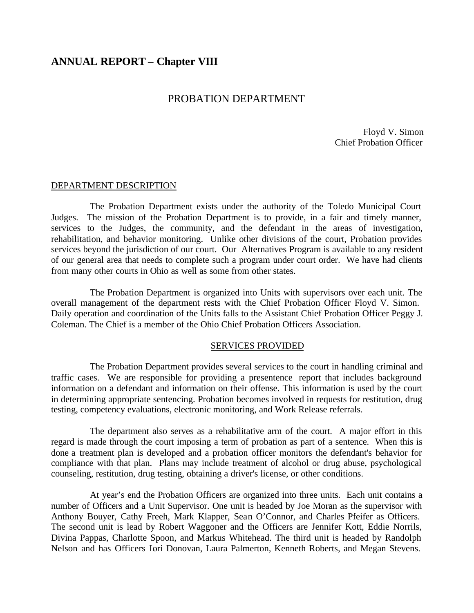# **ANNUAL REPORT – Chapter VIII**

### PROBATION DEPARTMENT

Floyd V. Simon Chief Probation Officer

#### DEPARTMENT DESCRIPTION

The Probation Department exists under the authority of the Toledo Municipal Court Judges. The mission of the Probation Department is to provide, in a fair and timely manner, services to the Judges, the community, and the defendant in the areas of investigation, rehabilitation, and behavior monitoring. Unlike other divisions of the court, Probation provides services beyond the jurisdiction of our court. Our Alternatives Program is available to any resident of our general area that needs to complete such a program under court order. We have had clients from many other courts in Ohio as well as some from other states.

The Probation Department is organized into Units with supervisors over each unit. The overall management of the department rests with the Chief Probation Officer Floyd V. Simon. Daily operation and coordination of the Units falls to the Assistant Chief Probation Officer Peggy J. Coleman. The Chief is a member of the Ohio Chief Probation Officers Association.

#### SERVICES PROVIDED

The Probation Department provides several services to the court in handling criminal and traffic cases. We are responsible for providing a presentence report that includes background information on a defendant and information on their offense. This information is used by the court in determining appropriate sentencing. Probation becomes involved in requests for restitution, drug testing, competency evaluations, electronic monitoring, and Work Release referrals.

The department also serves as a rehabilitative arm of the court. A major effort in this regard is made through the court imposing a term of probation as part of a sentence. When this is done a treatment plan is developed and a probation officer monitors the defendant's behavior for compliance with that plan. Plans may include treatment of alcohol or drug abuse, psychological counseling, restitution, drug testing, obtaining a driver's license, or other conditions.

At year's end the Probation Officers are organized into three units. Each unit contains a number of Officers and a Unit Supervisor. One unit is headed by Joe Moran as the supervisor with Anthony Bouyer, Cathy Freeh, Mark Klapper, Sean O'Connor, and Charles Pfeifer as Officers. The second unit is lead by Robert Waggoner and the Officers are Jennifer Kott, Eddie Norrils, Divina Pappas, Charlotte Spoon, and Markus Whitehead. The third unit is headed by Randolph Nelson and has Officers Lori Donovan, Laura Palmerton, Kenneth Roberts, and Megan Stevens.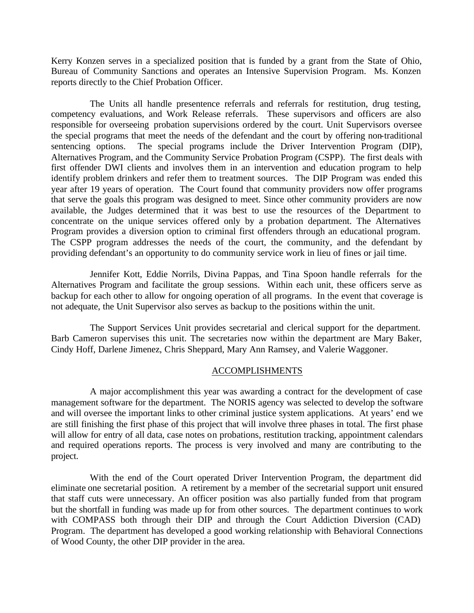Kerry Konzen serves in a specialized position that is funded by a grant from the State of Ohio, Bureau of Community Sanctions and operates an Intensive Supervision Program. Ms. Konzen reports directly to the Chief Probation Officer.

The Units all handle presentence referrals and referrals for restitution, drug testing, competency evaluations, and Work Release referrals. These supervisors and officers are also responsible for overseeing probation supervisions ordered by the court. Unit Supervisors oversee the special programs that meet the needs of the defendant and the court by offering non-traditional sentencing options. The special programs include the Driver Intervention Program (DIP), Alternatives Program, and the Community Service Probation Program (CSPP). The first deals with first offender DWI clients and involves them in an intervention and education program to help identify problem drinkers and refer them to treatment sources. The DIP Program was ended this year after 19 years of operation. The Court found that community providers now offer programs that serve the goals this program was designed to meet. Since other community providers are now available, the Judges determined that it was best to use the resources of the Department to concentrate on the unique services offered only by a probation department. The Alternatives Program provides a diversion option to criminal first offenders through an educational program. The CSPP program addresses the needs of the court, the community, and the defendant by providing defendant's an opportunity to do community service work in lieu of fines or jail time.

Jennifer Kott, Eddie Norrils, Divina Pappas, and Tina Spoon handle referrals for the Alternatives Program and facilitate the group sessions. Within each unit, these officers serve as backup for each other to allow for ongoing operation of all programs. In the event that coverage is not adequate, the Unit Supervisor also serves as backup to the positions within the unit.

The Support Services Unit provides secretarial and clerical support for the department. Barb Cameron supervises this unit. The secretaries now within the department are Mary Baker, Cindy Hoff, Darlene Jimenez, Chris Sheppard, Mary Ann Ramsey, and Valerie Waggoner.

#### ACCOMPLISHMENTS

A major accomplishment this year was awarding a contract for the development of case management software for the department. The NORIS agency was selected to develop the software and will oversee the important links to other criminal justice system applications. At years' end we are still finishing the first phase of this project that will involve three phases in total. The first phase will allow for entry of all data, case notes on probations, restitution tracking, appointment calendars and required operations reports. The process is very involved and many are contributing to the project.

With the end of the Court operated Driver Intervention Program, the department did eliminate one secretarial position. A retirement by a member of the secretarial support unit ensured that staff cuts were unnecessary. An officer position was also partially funded from that program but the shortfall in funding was made up for from other sources. The department continues to work with COMPASS both through their DIP and through the Court Addiction Diversion (CAD) Program. The department has developed a good working relationship with Behavioral Connections of Wood County, the other DIP provider in the area.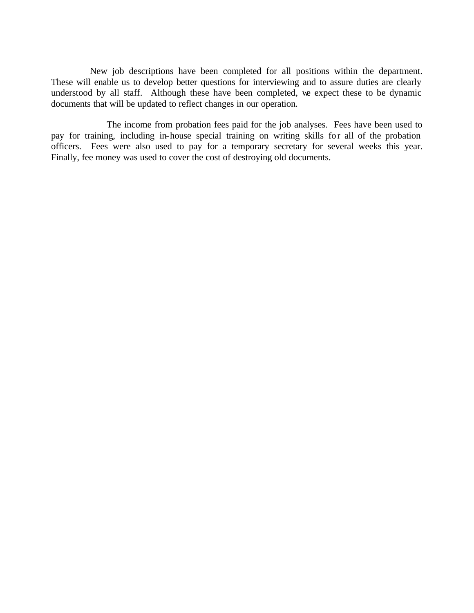New job descriptions have been completed for all positions within the department. These will enable us to develop better questions for interviewing and to assure duties are clearly understood by all staff. Although these have been completed, we expect these to be dynamic documents that will be updated to reflect changes in our operation.

The income from probation fees paid for the job analyses. Fees have been used to pay for training, including in-house special training on writing skills for all of the probation officers. Fees were also used to pay for a temporary secretary for several weeks this year. Finally, fee money was used to cover the cost of destroying old documents.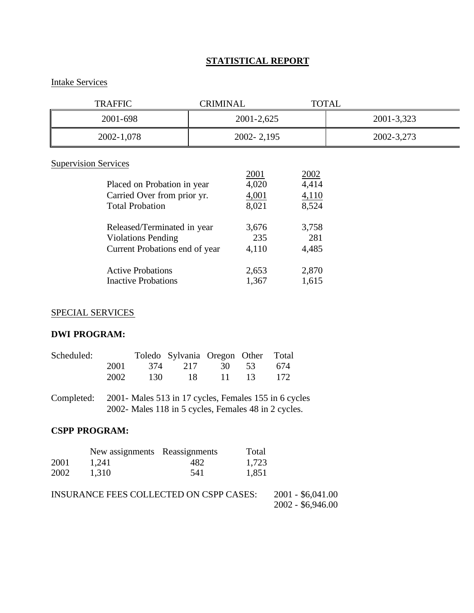# **STATISTICAL REPORT**

### Intake Services

| <b>TRAFFIC</b>                                                                                                      | <b>CRIMINAL</b> |                                 |                                 | <b>TOTAL</b> |
|---------------------------------------------------------------------------------------------------------------------|-----------------|---------------------------------|---------------------------------|--------------|
| 2001-698                                                                                                            |                 | 2001-2,625                      |                                 | 2001-3,323   |
| 2002-1,078                                                                                                          |                 | $2002 - 2,195$                  |                                 | 2002-3,273   |
| <b>Supervision Services</b><br>Placed on Probation in year<br>Carried Over from prior yr.<br><b>Total Probation</b> |                 | 2001<br>4,020<br>4,001<br>8,021 | 2002<br>4,414<br>4,110<br>8,524 |              |
| Released/Terminated in year                                                                                         |                 | 3,676                           | 3,758                           |              |

| <b>Violations Pending</b>      | 235   | 281   |
|--------------------------------|-------|-------|
| Current Probations end of year | 4,110 | 4,485 |
| <b>Active Probations</b>       | 2,653 | 2,870 |
| <b>Inactive Probations</b>     | 1,367 | 1,615 |

### SPECIAL SERVICES

#### **DWI PROGRAM:**

| Scheduled: |      |         | Toledo Sylvania Oregon Other Total |       |        |  |
|------------|------|---------|------------------------------------|-------|--------|--|
|            | 2001 |         | 374 217 30 53 674                  |       |        |  |
|            | 2002 | - 130 - | -18 -                              | $-11$ | 13 172 |  |

Completed: 2001- Males 513 in 17 cycles, Females 155 in 6 cycles 2002- Males 118 in 5 cycles, Females 48 in 2 cycles.

# **CSPP PROGRAM:**

|      | New assignments Reassignments |     | Total |  |
|------|-------------------------------|-----|-------|--|
| 2001 | 1,241                         | 482 | 1,723 |  |
| 2002 | 1.310                         | 541 | 1,851 |  |
|      |                               |     |       |  |

| INSURANCE FEES COLLECTED ON CSPP CASES: | $2001 - $6,041.00$ |
|-----------------------------------------|--------------------|
|                                         | $2002 - $6,946.00$ |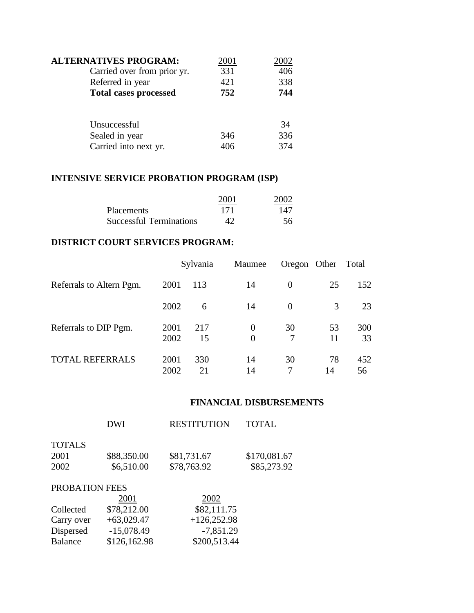| <b>ALTERNATIVES PROGRAM:</b>                            | 2001       | 2002             |
|---------------------------------------------------------|------------|------------------|
| Carried over from prior yr.                             | 331        | 406              |
| Referred in year                                        | 421        | 338              |
| <b>Total cases processed</b>                            | 752        | 744              |
| Unsuccessful<br>Sealed in year<br>Carried into next yr. | 346<br>406 | 34<br>336<br>374 |

### **INTENSIVE SERVICE PROBATION PROGRAM (ISP)**

|                                | 2001 | 2002 |
|--------------------------------|------|------|
| <b>Placements</b>              | 171  | 147. |
| <b>Successful Terminations</b> | 42   | 56   |

# **DISTRICT COURT SERVICES PROGRAM:**

|                          |              | Sylvania  | Maumee                     | Oregon Other   |          | Total     |
|--------------------------|--------------|-----------|----------------------------|----------------|----------|-----------|
| Referrals to Altern Pgm. | 2001         | 113       | 14                         | 0              | 25       | 152       |
|                          | 2002         | 6         | 14                         | $\overline{0}$ | 3        | 23        |
| Referrals to DIP Pgm.    | 2001<br>2002 | 217<br>15 | $\Omega$<br>$\overline{0}$ | 30<br>7        | 53<br>11 | 300<br>33 |
| <b>TOTAL REFERRALS</b>   | 2001<br>2002 | 330<br>21 | 14<br>14                   | 30             | 78<br>14 | 452<br>56 |

# **FINANCIAL DISBURSEMENTS**

|                | <b>DWI</b>  | <b>RESTITUTION</b> | <b>TOTAL</b> |
|----------------|-------------|--------------------|--------------|
| <b>TOTALS</b>  |             |                    |              |
| 2001           | \$88,350.00 | \$81,731.67        | \$170,081.67 |
| 2002           | \$6,510.00  | \$78,763.92        | \$85,273.92  |
| PROBATION FEES |             |                    |              |
|                |             | 2002               |              |

|            | 2001         | ZUUZ          |
|------------|--------------|---------------|
| Collected  | \$78,212.00  | \$82,111.75   |
| Carry over | $+63,029.47$ | $+126,252.98$ |
| Dispersed  | $-15,078.49$ | $-7,851.29$   |
| Balance    | \$126,162.98 | \$200,513.44  |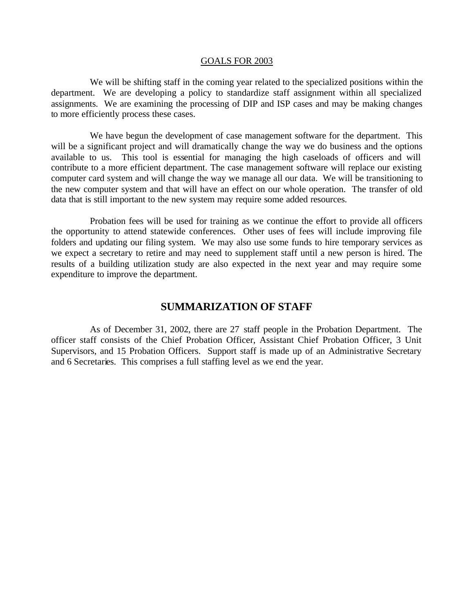#### GOALS FOR 2003

We will be shifting staff in the coming year related to the specialized positions within the department. We are developing a policy to standardize staff assignment within all specialized assignments. We are examining the processing of DIP and ISP cases and may be making changes to more efficiently process these cases.

We have begun the development of case management software for the department. This will be a significant project and will dramatically change the way we do business and the options available to us. This tool is essential for managing the high caseloads of officers and will contribute to a more efficient department. The case management software will replace our existing computer card system and will change the way we manage all our data. We will be transitioning to the new computer system and that will have an effect on our whole operation. The transfer of old data that is still important to the new system may require some added resources.

Probation fees will be used for training as we continue the effort to provide all officers the opportunity to attend statewide conferences. Other uses of fees will include improving file folders and updating our filing system. We may also use some funds to hire temporary services as we expect a secretary to retire and may need to supplement staff until a new person is hired. The results of a building utilization study are also expected in the next year and may require some expenditure to improve the department.

#### **SUMMARIZATION OF STAFF**

As of December 31, 2002, there are 27 staff people in the Probation Department. The officer staff consists of the Chief Probation Officer, Assistant Chief Probation Officer, 3 Unit Supervisors, and 15 Probation Officers. Support staff is made up of an Administrative Secretary and 6 Secretaries. This comprises a full staffing level as we end the year.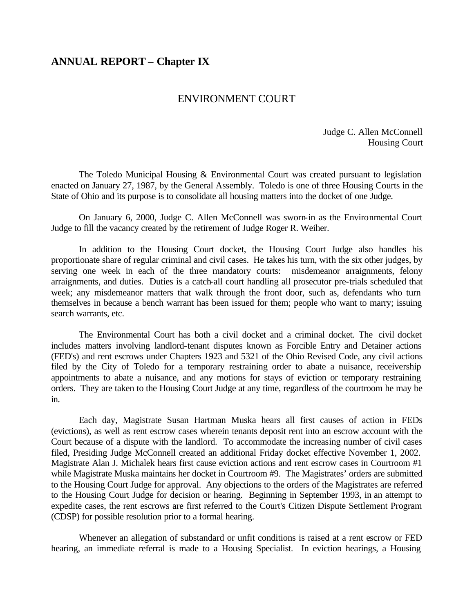# **ANNUAL REPORT – Chapter IX**

#### ENVIRONMENT COURT

Judge C. Allen McConnell Housing Court

The Toledo Municipal Housing & Environmental Court was created pursuant to legislation enacted on January 27, 1987, by the General Assembly. Toledo is one of three Housing Courts in the State of Ohio and its purpose is to consolidate all housing matters into the docket of one Judge.

On January 6, 2000, Judge C. Allen McConnell was sworn-in as the Environmental Court Judge to fill the vacancy created by the retirement of Judge Roger R. Weiher.

In addition to the Housing Court docket, the Housing Court Judge also handles his proportionate share of regular criminal and civil cases. He takes his turn, with the six other judges, by serving one week in each of the three mandatory courts: misdemeanor arraignments, felony arraignments, and duties. Duties is a catch-all court handling all prosecutor pre-trials scheduled that week; any misdemeanor matters that walk through the front door, such as, defendants who turn themselves in because a bench warrant has been issued for them; people who want to marry; issuing search warrants, etc.

The Environmental Court has both a civil docket and a criminal docket. The civil docket includes matters involving landlord-tenant disputes known as Forcible Entry and Detainer actions (FED's) and rent escrows under Chapters 1923 and 5321 of the Ohio Revised Code, any civil actions filed by the City of Toledo for a temporary restraining order to abate a nuisance, receivership appointments to abate a nuisance, and any motions for stays of eviction or temporary restraining orders. They are taken to the Housing Court Judge at any time, regardless of the courtroom he may be in.

Each day, Magistrate Susan Hartman Muska hears all first causes of action in FEDs (evictions), as well as rent escrow cases wherein tenants deposit rent into an escrow account with the Court because of a dispute with the landlord. To accommodate the increasing number of civil cases filed, Presiding Judge McConnell created an additional Friday docket effective November 1, 2002. Magistrate Alan J. Michalek hears first cause eviction actions and rent escrow cases in Courtroom #1 while Magistrate Muska maintains her docket in Courtroom #9. The Magistrates' orders are submitted to the Housing Court Judge for approval. Any objections to the orders of the Magistrates are referred to the Housing Court Judge for decision or hearing. Beginning in September 1993, in an attempt to expedite cases, the rent escrows are first referred to the Court's Citizen Dispute Settlement Program (CDSP) for possible resolution prior to a formal hearing.

Whenever an allegation of substandard or unfit conditions is raised at a rent escrow or FED hearing, an immediate referral is made to a Housing Specialist. In eviction hearings, a Housing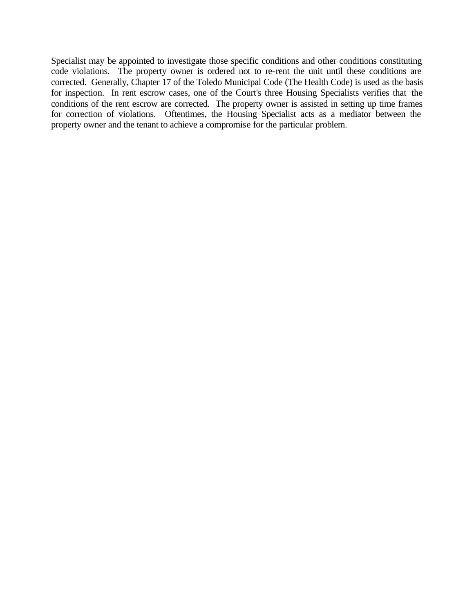Specialist may be appointed to investigate those specific conditions and other conditions constituting code violations. The property owner is ordered not to re-rent the unit until these conditions are corrected. Generally, Chapter 17 of the Toledo Municipal Code (The Health Code) is used as the basis for inspection. In rent escrow cases, one of the Court's three Housing Specialists verifies that the conditions of the rent escrow are corrected. The property owner is assisted in setting up time frames for correction of violations. Oftentimes, the Housing Specialist acts as a mediator between the property owner and the tenant to achieve a compromise for the particular problem.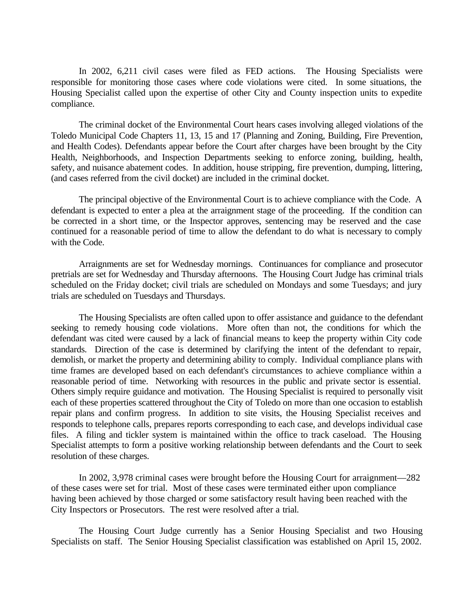In 2002, 6,211 civil cases were filed as FED actions. The Housing Specialists were responsible for monitoring those cases where code violations were cited. In some situations, the Housing Specialist called upon the expertise of other City and County inspection units to expedite compliance.

The criminal docket of the Environmental Court hears cases involving alleged violations of the Toledo Municipal Code Chapters 11, 13, 15 and 17 (Planning and Zoning, Building, Fire Prevention, and Health Codes). Defendants appear before the Court after charges have been brought by the City Health, Neighborhoods, and Inspection Departments seeking to enforce zoning, building, health, safety, and nuisance abatement codes. In addition, house stripping, fire prevention, dumping, littering, (and cases referred from the civil docket) are included in the criminal docket.

The principal objective of the Environmental Court is to achieve compliance with the Code. A defendant is expected to enter a plea at the arraignment stage of the proceeding. If the condition can be corrected in a short time, or the Inspector approves, sentencing may be reserved and the case continued for a reasonable period of time to allow the defendant to do what is necessary to comply with the Code.

Arraignments are set for Wednesday mornings. Continuances for compliance and prosecutor pretrials are set for Wednesday and Thursday afternoons. The Housing Court Judge has criminal trials scheduled on the Friday docket; civil trials are scheduled on Mondays and some Tuesdays; and jury trials are scheduled on Tuesdays and Thursdays.

The Housing Specialists are often called upon to offer assistance and guidance to the defendant seeking to remedy housing code violations. More often than not, the conditions for which the defendant was cited were caused by a lack of financial means to keep the property within City code standards. Direction of the case is determined by clarifying the intent of the defendant to repair, demolish, or market the property and determining ability to comply. Individual compliance plans with time frames are developed based on each defendant's circumstances to achieve compliance within a reasonable period of time. Networking with resources in the public and private sector is essential. Others simply require guidance and motivation. The Housing Specialist is required to personally visit each of these properties scattered throughout the City of Toledo on more than one occasion to establish repair plans and confirm progress. In addition to site visits, the Housing Specialist receives and responds to telephone calls, prepares reports corresponding to each case, and develops individual case files. A filing and tickler system is maintained within the office to track caseload. The Housing Specialist attempts to form a positive working relationship between defendants and the Court to seek resolution of these charges.

In 2002, 3,978 criminal cases were brought before the Housing Court for arraignment—282 of these cases were set for trial. Most of these cases were terminated either upon compliance having been achieved by those charged or some satisfactory result having been reached with the City Inspectors or Prosecutors. The rest were resolved after a trial.

The Housing Court Judge currently has a Senior Housing Specialist and two Housing Specialists on staff. The Senior Housing Specialist classification was established on April 15, 2002.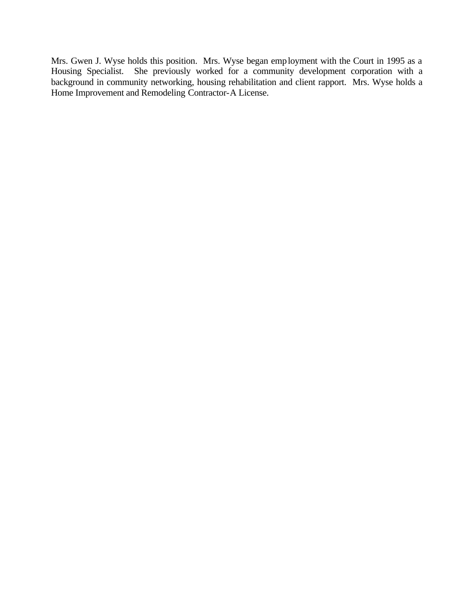Mrs. Gwen J. Wyse holds this position. Mrs. Wyse began employment with the Court in 1995 as a Housing Specialist. She previously worked for a community development corporation with a background in community networking, housing rehabilitation and client rapport. Mrs. Wyse holds a Home Improvement and Remodeling Contractor-A License.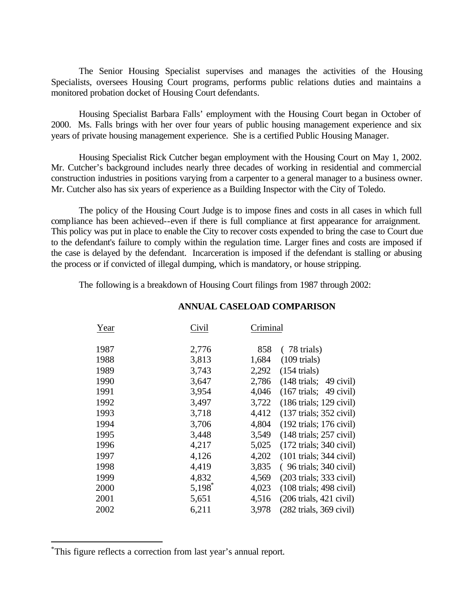The Senior Housing Specialist supervises and manages the activities of the Housing Specialists, oversees Housing Court programs, performs public relations duties and maintains a monitored probation docket of Housing Court defendants.

Housing Specialist Barbara Falls' employment with the Housing Court began in October of 2000. Ms. Falls brings with her over four years of public housing management experience and six years of private housing management experience. She is a certified Public Housing Manager.

Housing Specialist Rick Cutcher began employment with the Housing Court on May 1, 2002. Mr. Cutcher's background includes nearly three decades of working in residential and commercial construction industries in positions varying from a carpenter to a general manager to a business owner. Mr. Cutcher also has six years of experience as a Building Inspector with the City of Toledo.

The policy of the Housing Court Judge is to impose fines and costs in all cases in which full compliance has been achieved--even if there is full compliance at first appearance for arraignment. This policy was put in place to enable the City to recover costs expended to bring the case to Court due to the defendant's failure to comply within the regulation time. Larger fines and costs are imposed if the case is delayed by the defendant. Incarceration is imposed if the defendant is stalling or abusing the process or if convicted of illegal dumping, which is mandatory, or house stripping.

The following is a breakdown of Housing Court filings from 1987 through 2002:

| Year | Civil                | Criminal |                                           |
|------|----------------------|----------|-------------------------------------------|
| 1987 | 2,776                | 858      | $(78 \text{ trials})$                     |
| 1988 | 3,813                | 1,684    | $(109 \text{ trials})$                    |
| 1989 | 3,743                | 2,292    | $(154 \text{ trials})$                    |
| 1990 | 3,647                | 2,786    | $(148 \text{ trials}; 49 \text{ civil})$  |
| 1991 | 3,954                | 4,046    | $(167 \text{ trials}; 49 \text{ civil})$  |
| 1992 | 3,497                | 3,722    | $(186 \text{ trials}; 129 \text{ civil})$ |
| 1993 | 3,718                | 4,412    | $(137 \text{ trials}; 352 \text{ civil})$ |
| 1994 | 3,706                | 4,804    | $(192 \text{ trials}; 176 \text{ civil})$ |
| 1995 | 3,448                | 3,549    | $(148 \text{ trials}; 257 \text{ civil})$ |
| 1996 | 4,217                | 5,025    | $(172 \text{ trials}; 340 \text{ civil})$ |
| 1997 | 4,126                | 4,202    | $(101 \text{ trials}; 344 \text{ civil})$ |
| 1998 | 4,419                | 3,835    | $(96 \text{ trials}; 340 \text{ civil})$  |
| 1999 | 4,832                | 4,569    | $(203 \text{ trials}; 333 \text{ civil})$ |
| 2000 | $5,198$ <sup>*</sup> | 4,023    | $(108 \text{ trials}; 498 \text{ civil})$ |
| 2001 | 5,651                | 4,516    | $(206 \text{ trials}, 421 \text{ civil})$ |
| 2002 | 6,211                | 3,978    | $(282 \text{ trials}, 369 \text{ civil})$ |
|      |                      |          |                                           |

#### **ANNUAL CASELOAD COMPARISON**

\*This figure reflects a correction from last year's annual report.

 $\overline{a}$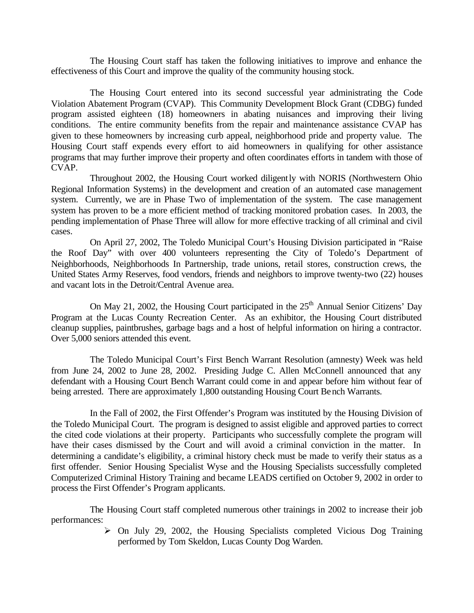The Housing Court staff has taken the following initiatives to improve and enhance the effectiveness of this Court and improve the quality of the community housing stock.

The Housing Court entered into its second successful year administrating the Code Violation Abatement Program (CVAP). This Community Development Block Grant (CDBG) funded program assisted eighteen (18) homeowners in abating nuisances and improving their living conditions. The entire community benefits from the repair and maintenance assistance CVAP has given to these homeowners by increasing curb appeal, neighborhood pride and property value. The Housing Court staff expends every effort to aid homeowners in qualifying for other assistance programs that may further improve their property and often coordinates efforts in tandem with those of CVAP.

Throughout 2002, the Housing Court worked diligently with NORIS (Northwestern Ohio Regional Information Systems) in the development and creation of an automated case management system. Currently, we are in Phase Two of implementation of the system. The case management system has proven to be a more efficient method of tracking monitored probation cases. In 2003, the pending implementation of Phase Three will allow for more effective tracking of all criminal and civil cases.

On April 27, 2002, The Toledo Municipal Court's Housing Division participated in "Raise the Roof Day" with over 400 volunteers representing the City of Toledo's Department of Neighborhoods, Neighborhoods In Partnership, trade unions, retail stores, construction crews, the United States Army Reserves, food vendors, friends and neighbors to improve twenty-two (22) houses and vacant lots in the Detroit/Central Avenue area.

On May 21, 2002, the Housing Court participated in the 25<sup>th</sup> Annual Senior Citizens' Day Program at the Lucas County Recreation Center. As an exhibitor, the Housing Court distributed cleanup supplies, paintbrushes, garbage bags and a host of helpful information on hiring a contractor. Over 5,000 seniors attended this event.

The Toledo Municipal Court's First Bench Warrant Resolution (amnesty) Week was held from June 24, 2002 to June 28, 2002. Presiding Judge C. Allen McConnell announced that any defendant with a Housing Court Bench Warrant could come in and appear before him without fear of being arrested. There are approximately 1,800 outstanding Housing Court Bench Warrants.

In the Fall of 2002, the First Offender's Program was instituted by the Housing Division of the Toledo Municipal Court. The program is designed to assist eligible and approved parties to correct the cited code violations at their property. Participants who successfully complete the program will have their cases dismissed by the Court and will avoid a criminal conviction in the matter. In determining a candidate's eligibility, a criminal history check must be made to verify their status as a first offender. Senior Housing Specialist Wyse and the Housing Specialists successfully completed Computerized Criminal History Training and became LEADS certified on October 9, 2002 in order to process the First Offender's Program applicants.

The Housing Court staff completed numerous other trainings in 2002 to increase their job performances:

 $\triangleright$  On July 29, 2002, the Housing Specialists completed Vicious Dog Training performed by Tom Skeldon, Lucas County Dog Warden.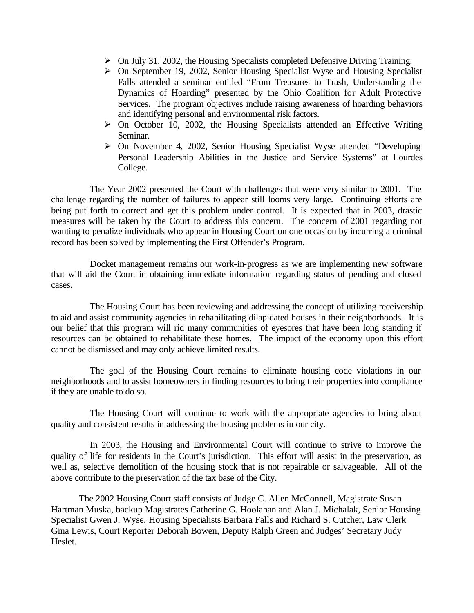- $\triangleright$  On July 31, 2002, the Housing Specialists completed Defensive Driving Training.
- $\triangleright$  On September 19, 2002, Senior Housing Specialist Wyse and Housing Specialist Falls attended a seminar entitled "From Treasures to Trash, Understanding the Dynamics of Hoarding" presented by the Ohio Coalition for Adult Protective Services. The program objectives include raising awareness of hoarding behaviors and identifying personal and environmental risk factors.
- $\triangleright$  On October 10, 2002, the Housing Specialists attended an Effective Writing Seminar.
- ÿ On November 4, 2002, Senior Housing Specialist Wyse attended "Developing Personal Leadership Abilities in the Justice and Service Systems" at Lourdes College.

The Year 2002 presented the Court with challenges that were very similar to 2001. The challenge regarding the number of failures to appear still looms very large. Continuing efforts are being put forth to correct and get this problem under control. It is expected that in 2003, drastic measures will be taken by the Court to address this concern. The concern of 2001 regarding not wanting to penalize individuals who appear in Housing Court on one occasion by incurring a criminal record has been solved by implementing the First Offender's Program.

Docket management remains our work-in-progress as we are implementing new software that will aid the Court in obtaining immediate information regarding status of pending and closed cases.

The Housing Court has been reviewing and addressing the concept of utilizing receivership to aid and assist community agencies in rehabilitating dilapidated houses in their neighborhoods. It is our belief that this program will rid many communities of eyesores that have been long standing if resources can be obtained to rehabilitate these homes. The impact of the economy upon this effort cannot be dismissed and may only achieve limited results.

The goal of the Housing Court remains to eliminate housing code violations in our neighborhoods and to assist homeowners in finding resources to bring their properties into compliance if they are unable to do so.

The Housing Court will continue to work with the appropriate agencies to bring about quality and consistent results in addressing the housing problems in our city.

In 2003, the Housing and Environmental Court will continue to strive to improve the quality of life for residents in the Court's jurisdiction. This effort will assist in the preservation, as well as, selective demolition of the housing stock that is not repairable or salvageable. All of the above contribute to the preservation of the tax base of the City.

The 2002 Housing Court staff consists of Judge C. Allen McConnell, Magistrate Susan Hartman Muska, backup Magistrates Catherine G. Hoolahan and Alan J. Michalak, Senior Housing Specialist Gwen J. Wyse, Housing Specialists Barbara Falls and Richard S. Cutcher, Law Clerk Gina Lewis, Court Reporter Deborah Bowen, Deputy Ralph Green and Judges' Secretary Judy Heslet.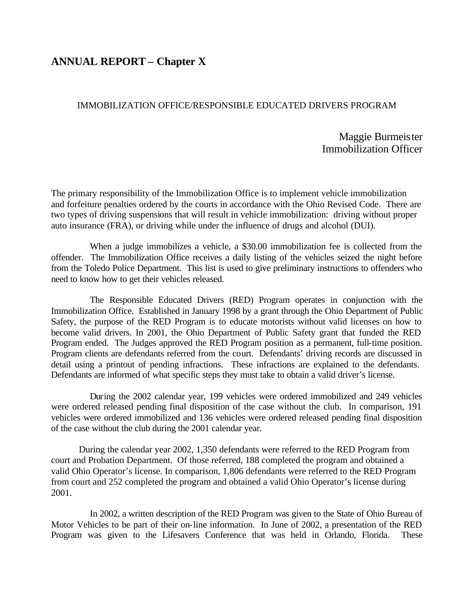# **ANNUAL REPORT – Chapter X**

#### IMMOBILIZATION OFFICE/RESPONSIBLE EDUCATED DRIVERS PROGRAM

Maggie Burmeister Immobilization Officer

The primary responsibility of the Immobilization Office is to implement vehicle immobilization and forfeiture penalties ordered by the courts in accordance with the Ohio Revised Code. There are two types of driving suspensions that will result in vehicle immobilization: driving without proper auto insurance (FRA), or driving while under the influence of drugs and alcohol (DUI).

When a judge immobilizes a vehicle, a \$30.00 immobilization fee is collected from the offender. The Immobilization Office receives a daily listing of the vehicles seized the night before from the Toledo Police Department. This list is used to give preliminary instructions to offenders who need to know how to get their vehicles released.

The Responsible Educated Drivers (RED) Program operates in conjunction with the Immobilization Office. Established in January 1998 by a grant through the Ohio Department of Public Safety, the purpose of the RED Program is to educate motorists without valid licenses on how to become valid drivers. In 2001, the Ohio Department of Public Safety grant that funded the RED Program ended. The Judges approved the RED Program position as a permanent, full-time position. Program clients are defendants referred from the court. Defendants' driving records are discussed in detail using a printout of pending infractions. These infractions are explained to the defendants. Defendants are informed of what specific steps they must take to obtain a valid driver's license.

During the 2002 calendar year, 199 vehicles were ordered immobilized and 249 vehicles were ordered released pending final disposition of the case without the club. In comparison, 191 vehicles were ordered immobilized and 136 vehicles were ordered released pending final disposition of the case without the club during the 2001 calendar year.

During the calendar year 2002, 1,350 defendants were referred to the RED Program from court and Probation Department. Of those referred, 188 completed the program and obtained a valid Ohio Operator's license. In comparison, 1,806 defendants were referred to the RED Program from court and 252 completed the program and obtained a valid Ohio Operator's license during 2001.

In 2002, a written description of the RED Program was given to the State of Ohio Bureau of Motor Vehicles to be part of their on-line information. In June of 2002, a presentation of the RED Program was given to the Lifesavers Conference that was held in Orlando, Florida. These